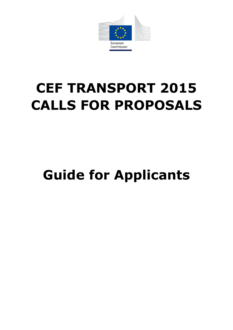

# **CEF TRANSPORT 2015 CALLS FOR PROPOSALS**

# **Guide for Applicants**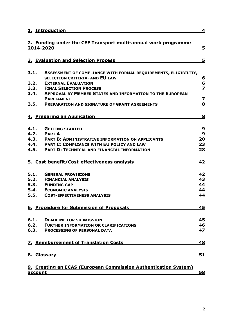|      | 1. Introduction                                                                                                       | 4                            |
|------|-----------------------------------------------------------------------------------------------------------------------|------------------------------|
|      | 2. Funding under the CEF Transport multi-annual work programme<br>2014-2020                                           | 5                            |
|      |                                                                                                                       |                              |
|      | 3. Evaluation and Selection Process                                                                                   | 5                            |
| 3.1. | ASSESSMENT OF COMPLIANCE WITH FORMAL REQUIREMENTS, ELIGIBILITY,                                                       |                              |
|      | <b>SELECTION CRITERIA, AND EU LAW</b>                                                                                 | 6                            |
| 3.2. | <b>EXTERNAL EVALUATION</b>                                                                                            | 6                            |
|      | 3.3. FINAL SELECTION PROCESS                                                                                          | $\overline{\mathbf{z}}$      |
| 3.4. | <b>APPROVAL BY MEMBER STATES AND INFORMATION TO THE EUROPEAN</b>                                                      |                              |
| 3.5. | <b>PARLIAMENT</b><br><b>PREPARATION AND SIGNATURE OF GRANT AGREEMENTS</b>                                             | $\overline{\mathbf{z}}$<br>8 |
|      |                                                                                                                       |                              |
|      | 4. Preparing an Application                                                                                           | 8                            |
|      |                                                                                                                       |                              |
| 4.1. | <b>GETTING STARTED</b>                                                                                                | 9                            |
|      | <b>4.2. PART A</b>                                                                                                    | 9                            |
|      | 4.3. PART B: ADMINISTRATIVE INFORMATION ON APPLICANTS                                                                 | 20                           |
|      | 4.4. PART C: COMPLIANCE WITH EU POLICY AND LAW                                                                        | 23                           |
| 4.5. | <b>PART D: TECHNICAL AND FINANCIAL INFORMATION</b>                                                                    | 28                           |
|      | 5. Cost-benefit/Cost-effectiveness analysis                                                                           | 42                           |
| 5.1. | <b>GENERAL PROVISIONS</b>                                                                                             | 42                           |
| 5.2. | <b>FINANCIAL ANALYSIS</b>                                                                                             | 43                           |
| 5.3. | <b>FUNDING GAP</b>                                                                                                    | 44                           |
|      | <b>5.4. ECONOMIC ANALYSIS</b>                                                                                         | 44                           |
| 5.5. | <b>COST-EFFECTIVENESS ANALYSIS</b>                                                                                    | 44                           |
|      | 6. Procedure for Submission of Proposals                                                                              | 45                           |
| 6.1. | <b>DEADLINE FOR SUBMISSION</b>                                                                                        | 45                           |
|      | <b>6.2. FURTHER INFORMATION OR CLARIFICATIONS</b>                                                                     | 46                           |
|      | <b>6.3. PROCESSING OF PERSONAL DATA</b>                                                                               | 47                           |
|      | 7. Reimbursement of Translation Costs                                                                                 | 48                           |
|      | 8. Glossary <b>Exercise Service Service Service Service Service Service Service Service Service Service Service S</b> | 51                           |
|      | 9. Creating an ECAS (European Commission Authentication System)                                                       |                              |

**[account](#page-56-0)** 58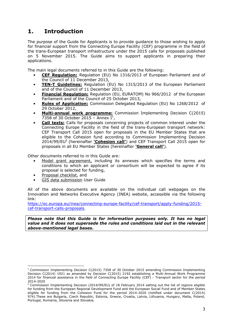# <span id="page-2-0"></span>**1. Introduction**

The purpose of the Guide for Applicants is to provide guidance to those wishing to apply for financial support from the Connecting Europe Facility (CEF) programme in the field of the trans-European transport infrastructure under the 2015 calls for proposals published on 5 November 2015. The Guide aims to support applicants in preparing their applications.

The main legal documents referred to in this Guide are the following:

- **CEF Regulation:** Regulation (EU) No 1316/2013 of European Parliament and of the Council of 11 December 2013,
- **TEN-T Guidelines:** Regulation (EU) No 1315/2013 of the European Parliament and of the Council of 11 December 2013,
- **Financial Regulation:** Regulation (EU, EURATOM) No 966/2012 of the European Parliament and of the Council of 25 October 2013,
- **Rules of Application:** Commission Delegated Regulation (EU) No 1268/2012 of 29 October 2012,
- **Multi-annual work programme:** Commission Implementing Decision C(2015) 7358 of 30 October 2015 - Annex  $I^1$ ,
- **Call texts:** Calls for proposals concerning projects of common interest under the Connecting Europe Facility in the field of the trans-European transport network: CEF Transport Call 2015 open for proposals in the EU Member States that are eligible to the Cohesion fund according to Commission Implementing Decision 2014/99/EU<sup>2</sup> (hereinafter **'Cohesion call'**) and CEF Transport Call 2015 open for proposals in all EU Member States (hereinafter **'General call'**).

Other documents referred to in this Guide are:

- Model grant agreement, including its annexes which specifies the terms and conditions to which an applicant or consortium will be expected to agree if its proposal is selected for funding,
- Proposal checklist, and
- GIS data submission User Guide

All of the above documents are available on the individual call webpages on the Innovation and Networks Executive Agency (INEA) website, accessible via the following link:

[https://ec.europa.eu/inea/connecting-europe-facility/cef-transport/apply-funding/2015](https://ec.europa.eu/inea/connecting-europe-facility/cef-transport/apply-funding/2015-cef-transport-calls-proposals) [cef-transport-calls-proposals.](https://ec.europa.eu/inea/connecting-europe-facility/cef-transport/apply-funding/2015-cef-transport-calls-proposals)

*Please note that this Guide is for information purposes only. It has no legal value and it does not supersede the rules and conditions laid out in the relevant above-mentioned legal bases.*

<sup>-</sup> $1$  Commission Implementing Decision C(2015) 7358 of 30 October 2015 amending Commission Implementing Decision C(2014) 1921 as amended by Decision C(2015) 2192 establishing a Multi-Annual Work Programme 2014 for financial assistance in the field of Connecting Europe Facility (CEF) - Transport sector for the period 2014-2020

<sup>&</sup>lt;sup>2</sup> Commission Implementing Decision (2014/99/EU) of 18 February 2014 setting out the list of regions eligible for funding from the European Regional Development Fund and the European Social Fund and of Member States eligible for funding from the Cohesion Fund for the period 2014-2020 (notified under document C(2014) 974).These are Bulgaria, Czech Republic, Estonia, Greece, Croatia, Latvia, Lithuania, Hungary, Malta, Poland, Portugal, Romania, Slovenia and Slovakia.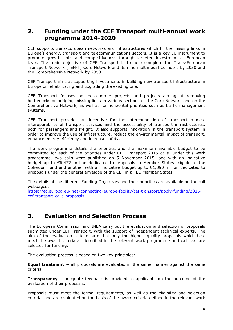# <span id="page-3-0"></span>**2. Funding under the CEF Transport multi-annual work programme 2014-2020**

CEF supports trans-European networks and infrastructures which fill the missing links in Europe's energy, transport and telecommunications sectors. It is a key EU instrument to promote growth, jobs and competitiveness through targeted investment at European level. The main objective of CEF Transport is to help complete the Trans-European Transport Network (TEN-T) Core Network and its nine multimodal Corridors by 2030 and the Comprehensive Network by 2050.

CEF Transport aims at supporting investments in building new transport infrastructure in Europe or rehabilitating and upgrading the existing one.

CEF Transport focuses on cross-border projects and projects aiming at removing bottlenecks or bridging missing links in various sections of the Core Network and on the Comprehensive Network, as well as for horizontal priorities such as traffic management systems.

CEF Transport provides an incentive for the interconnection of transport modes, interoperability of transport services and the accessibility of transport infrastructures, both for passengers and freight. It also supports innovation in the transport system in order to improve the use of infrastructure, reduce the environmental impact of transport, enhance energy efficiency and increase safety.

The work programme details the priorities and the maximum available budget to be committed for each of the priorities under CEF Transport 2015 calls. Under this work programme, two calls were published on 5 November 2015, one with an indicative budget up to €6,472 million dedicated to proposals in Member States eligible to the Cohesion Fund and another with an indicative budget up to  $E1,090$  million dedicated to proposals under the general envelope of the CEF in all EU Member States.

The details of the different Funding Objectives and their priorities are available on the call webpages:

[https://ec.europa.eu/inea/connecting-europe-facility/cef-transport/apply-funding/2015](https://ec.europa.eu/inea/connecting-europe-facility/cef-transport/apply-funding/2015-cef-transport-calls-proposals) [cef-transport-calls-proposals.](https://ec.europa.eu/inea/connecting-europe-facility/cef-transport/apply-funding/2015-cef-transport-calls-proposals)

# <span id="page-3-1"></span>**3. Evaluation and Selection Process**

The European Commission and INEA carry out the evaluation and selection of proposals submitted under CEF Transport, with the support of independent technical experts. The aim of the evaluation is to ensure that only the highest-quality proposals which best meet the award criteria as described in the relevant work programme and call text are selected for funding.

The evaluation process is based on two key principles:

**Equal treatment –** all proposals are evaluated in the same manner against the same criteria

**Transparency** – adequate feedback is provided to applicants on the outcome of the evaluation of their proposals.

Proposals must meet the formal requirements, as well as the eligibility and selection criteria, and are evaluated on the basis of the award criteria defined in the relevant work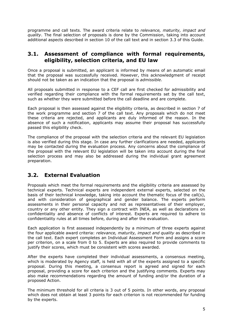programme and call texts. The award criteria relate to *relevance, maturity, impact and quality*. The final selection of proposals is done by the Commission, taking into account additional aspects described in section 10 of the call text and in section 3.3 of this Guide.

## <span id="page-4-0"></span>**3.1. Assessment of compliance with formal requirements, eligibility, selection criteria, and EU law**

Once a proposal is submitted, an applicant is informed by means of an automatic email that the proposal was successfully received. However, this acknowledgment of receipt should not be taken as an indication that the proposal is *admissible*.

All proposals submitted in response to a CEF call are first checked for admissibility and verified regarding their compliance with the formal requirements set by the call text, such as whether they were submitted before the call deadline and are complete.

Each proposal is then assessed against the eligibility criteria, as described in section 7 of the work programme and section 7 of the call text. Any proposals which do not meet these criteria are rejected, and applicants are duly informed of the reason. In the absence of such a notification, applicants may assume their proposal has successfully passed this eligibility check.

The compliance of the proposal with the selection criteria and the relevant EU legislation is also verified during this stage. In case any further clarifications are needed, applicants may be contacted during the evaluation process. Any concerns about the compliance of the proposal with the relevant EU legislation will be taken into account during the final selection process and may also be addressed during the individual grant agreement preparation.

# <span id="page-4-1"></span>**3.2. External Evaluation**

Proposals which meet the formal requirements and the eligibility criteria are assessed by technical experts. Technical experts are independent external experts, selected on the basis of their technical knowledge, taking into account the thematic focus of the call(s), and with consideration of geographical and gender balance. The experts perform assessments in their personal capacity and not as representatives of their employer, country or any other entity. They sign a contract with INEA, as well as declarations on confidentiality and absence of conflicts of interest. Experts are required to adhere to confidentiality rules at all times before, during and after the evaluation.

Each application is first assessed independently by a minimum of three experts against the four applicable award criteria: *relevance, maturity, impact and quality* as described in the call text. Each expert completes an Individual Assessment Form and assigns a score per criterion, on a scale from 0 to 5. Experts are also required to provide comments to justify their scores, which must be consistent with scores awarded.

After the experts have completed their individual assessments, a consensus meeting, which is moderated by Agency staff, is held with all of the experts assigned to a specific proposal. During this meeting, a consensus report is agreed and signed for each proposal, providing a score for each criterion and the justifying comments. Experts may also make recommendations regarding the amount of funding and/or the duration of a proposed Action.

The minimum threshold for all criteria is 3 out of 5 points. In other words, any proposal which does not obtain at least 3 points for each criterion is not recommended for funding by the experts.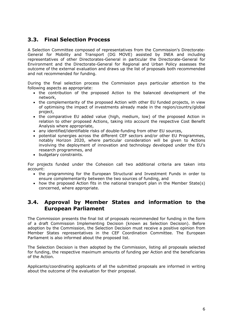# <span id="page-5-0"></span>**3.3. Final Selection Process**

A Selection Committee composed of representatives from the Commission's Directorate-General for Mobility and Transport (DG MOVE) assisted by INEA and including representatives of other Directorates-General in particular the Directorate-General for Environment and the Directorate-General for Regional and Urban Policy assesses the outcome of the external evaluation and draws up the list of proposals both recommended and not recommended for funding.

During the final selection process the Commission pays particular attention to the following aspects as appropriate:

- the contribution of the proposed Action to the balanced development of the network,
- the complementarity of the proposed Action with other EU funded projects, in view of optimising the impact of investments already made in the region/country/global project,
- the comparative EU added value (high, medium, low) of the proposed Action in relation to other proposed Actions, taking into account the respective Cost Benefit Analysis where appropriate,
- any identified/identifiable risks of double-funding from other EU sources,
- potential synergies across the different CEF sectors and/or other EU Programmes, notably Horizon 2020, where particular consideration will be given to Actions involving the deployment of innovation and technology developed under the EU's research programmes, and
- budgetary constraints.

For projects funded under the Cohesion call two additional criteria are taken into account:

- the programming for the European Structural and Investment Funds in order to ensure complementarity between the two sources of funding, and
- how the proposed Action fits in the national transport plan in the Member State(s) concerned, where appropriate.

# <span id="page-5-1"></span>**3.4. Approval by Member States and information to the European Parliament**

The Commission presents the final list of proposals recommended for funding in the form of a draft Commission Implementing Decision (known as Selection Decision). Before adoption by the Commission, the Selection Decision must receive a positive opinion from Member States representatives in the CEF Coordination Committee. The European Parliament is also informed about the proposed list.

The Selection Decision is then adopted by the Commission, listing all proposals selected for funding, the respective maximum amounts of funding per Action and the beneficiaries of the Action.

Applicants/coordinating applicants of all the submitted proposals are informed in writing about the outcome of the evaluation for their proposal.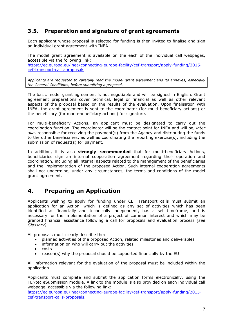# <span id="page-6-0"></span>**3.5. Preparation and signature of grant agreements**

Each applicant whose proposal is selected for funding is then invited to finalise and sign an individual grant agreement with INEA.

The model grant agreement is available on the each of the individual call webpages, accessible via the following link: [https://ec.europa.eu/inea/connecting-europe-facility/cef-transport/apply-funding/2015](https://ec.europa.eu/inea/connecting-europe-facility/cef-transport/apply-funding/2015-cef-transport-calls-proposals) [cef-transport-calls-proposals](https://ec.europa.eu/inea/connecting-europe-facility/cef-transport/apply-funding/2015-cef-transport-calls-proposals)

*Applicants are requested to carefully read the model grant agreement and its annexes, especially the General Conditions, before submitting a proposal.*

The basic model grant agreement is not negotiable and will be signed in English. Grant agreement preparations cover technical, legal or financial as well as other relevant aspects of the proposal based on the results of the evaluation. Upon finalisation with INEA, the grant agreement is sent to the coordinator (for multi-beneficiary actions) or the beneficiary (for mono-beneficiary actions) for signature.

For multi-beneficiary Actions, an applicant must be designated to carry out the coordination function. The coordinator will be the contact point for INEA and will be, *inter alia*, responsible for receiving the payment(s) from the Agency and distributing the funds to the other beneficiaries, as well as coordinating the reporting exercise(s), including the submission of request(s) for payment.

In addition, it is also **strongly recommended** that for multi-beneficiary Actions, beneficiaries sign an internal cooperation agreement regarding their operation and coordination, including all internal aspects related to the management of the beneficiaries and the implementation of the proposed Action. Such internal cooperation agreements shall not undermine, under any circumstances, the terms and conditions of the model grant agreement.

# <span id="page-6-1"></span>**4. Preparing an Application**

Applicants wishing to apply for funding under CEF Transport calls must submit an application for an Action, which is defined as any set of activities which has been identified as financially and technically independent, has a set timeframe, and is necessary for the implementation of a project of common interest and which may be granted financial assistance following a call for proposals and evaluation process *(see Glossary)*.

All proposals must clearly describe the:

- planned activities of the proposed Action, related milestones and deliverables
- information on who will carry out the activities
- $\cdot$  costs
- reason(s) why the proposal should be supported financially by the EU

All information relevant for the evaluation of the proposal must be included within the application.

Applicants must complete and submit the application forms electronically, using the TENtec eSubmission module. A link to the module is also provided on each individual call webpage, accessible via the following link:

h[ttps://ec.europa.eu/inea/connecting-europe-facility/cef-transport/apply-funding/2015](https://ec.europa.eu/inea/connecting-europe-facility/cef-transport/apply-funding/2015-cef-transport-calls-proposals) [cef-transport-calls-proposals.](https://ec.europa.eu/inea/connecting-europe-facility/cef-transport/apply-funding/2015-cef-transport-calls-proposals)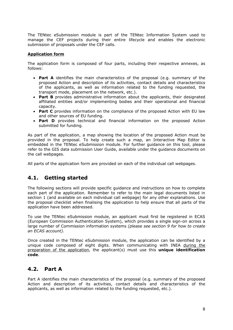The TENtec eSubmission module is part of the TENtec Information System used to manage the CEF projects during their entire lifecycle and enables the electronic submission of proposals under the CEF calls.

#### **Application form**

The application form is composed of four parts, including their respective annexes, as follows:

- **Part A** identifies the main characteristics of the proposal (e.g. summary of the proposed Action and description of its activities, contact details and characteristics of the applicants, as well as information related to the funding requested, the transport mode, placement on the network, etc.).
- **Part B** provides administrative information about the applicants, their designated affiliated entities and/or implementing bodies and their operational and financial capacity.
- **Part C** provides information on the compliance of the proposed Action with EU law and other sources of EU funding.
- **Part D** provides technical and financial information on the proposed Action submitted for funding.

As part of the application, a map showing the location of the proposed Action must be provided in the proposal. To help create such a map, an Interactive Map Editor is embedded in the TENtec eSubmission module. For further guidance on this tool, please refer to the GIS data submission User Guide, available under the guidance documents on the call webpages.

All parts of the application form are provided on each of the individual call webpages.

# <span id="page-7-0"></span>**4.1. Getting started**

The following sections will provide specific guidance and instructions on how to complete each part of the application. Remember to refer to the main legal documents listed in section 1 (and available on each individual call webpage) for any other explanations. Use the proposal checklist when finalising the application to help ensure that all parts of the application have been addressed.

To use the TENtec eSubmission module, an applicant must first be registered in ECAS (European Commission Authentication System), which provides a single sign-on across a large number of Commission information systems *(please see section 9 for how to create an ECAS account).*

Once created in the TENtec eSubmission module, the application can be identified by a unique code composed of eight digits. When communicating with INEA during the preparation of the application, the applicant(s) must use this **unique identification code**.

# <span id="page-7-1"></span>**4.2. Part A**

Part A identifies the main characteristics of the proposal (e.g. summary of the proposed Action and description of its activities, contact details and characteristics of the applicants, as well as information related to the funding requested, etc.).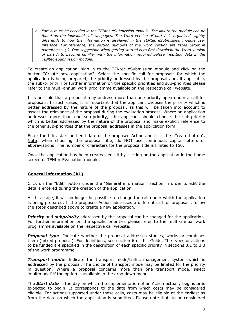*Part A must be encoded in the TENtec eSubmission module. The link to the module can be found on the individual call webpages. The Word version of part A is organised slightly differently to how the information is displayed in the TENtec eSubmission module user interface. For reference, the section numbers of the Word version are listed below in parentheses ( ). One suggestion when getting started is to first download the Word version of part A to become familiar with the information required before inputting data in the TENtec eSubmission module.*

To create an application, sign in to the TENtec eSubmission module and click on the button "Create new application". Select the specific call for proposals for which the application is being prepared, the priority addressed by the proposal and, if applicable, the sub-priority. For further information on the specific priorities and sub-priorities please refer to the multi-annual work programme available on the respective call website.

It is possible that a proposal may address more than one priority open under a call for proposals. In such cases, it is important that the applicant chooses the priority which is better addressed by the nature of the proposal, as this will be taken into account to assess the relevance of the proposal during the evaluation process. Where an application addresses more than one sub-priority,, the applicant should choose the sub-priority which is better addressed by the nature of the proposal and make explicit reference to the other sub-priorities that the proposal addresses in the application form.

Enter the title, start and end date of the proposed Action and click the "Create button". Note: when choosing the proposal title, do NOT use continuous capital letters or abbreviations. The number of characters for the proposal title is limited to 150.

Once the application has been created, edit it by clicking on the application in the home screen of TENtec Evaluation module.

#### **General information (A1)**

Click on the "Edit" button under the "General information" section in order to edit the details entered during the creation of the application.

At this stage, it will no longer be possible to change the call under which the application is being prepared. If the proposed Action addresses a different call for proposals, follow the steps described above to create a new application.

**Priority** and **subpriority** addressed by the proposal can be changed for the application. For further information on the specific priorities please refer to the multi-annual work programme available on the respective call website.

*Proposal type*: Indicate whether the proposal addresses studies, works or combines them (mixed proposal). For definitions, see section 6 of this Guide. The types of actions to be funded are specified in the description of each specific priority in sections 3.1 to 3.3 of the work programme.

*Transport mode***:** Indicate the transport mode/traffic management system which is addressed by the proposal. The choice of transport mode may be limited for the priority in question. Where a proposal concerns more than one transport mode, select 'multimodal' if the option is available in the drop down menu.

The *Start date* is the day on which the implementation of an Action actually begins or is expected to begin. It corresponds to the date from which costs may be considered eligible. For actions supported under these calls, costs may be eligible at the earliest as from the date on which the application is submitted. Please note that, to be considered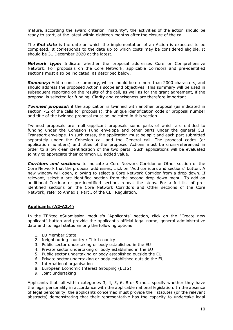mature, according the award criterion "maturity", the activities of the action should be ready to start, at the latest within eighteen months after the closure of the call.

The *End date* is the date on which the implementation of an Action is expected to be completed. It corresponds to the date up to which costs may be considered eligible. It should be 31 December 2020 at the latest.

*Network type:* Indicate whether the proposal addresses Core or Comprehensive Network. For proposals on the Core Network, applicable Corridors and pre-identified sections must also be indicated, as described below.

**Summary:** Add a concise summary, which should be no more than 2000 characters, and should address the proposed Action's scope and objectives. This summary will be used in subsequent reporting on the results of the call, as well as for the grant agreement, if the proposal is selected for funding. Clarity and conciseness are therefore important.

*Twinned proposal:* if the application is twinned with another proposal (as indicated in section 7.2 of the calls for proposals), the unique identification code or proposal number and title of the twinned proposal must be indicated in this section.

Twinned proposals are multi-applicant proposals some parts of which are entitled to funding under the Cohesion Fund envelope and other parts under the general CEF Transport envelope. In such cases, the application must be split and each part submitted separately under the Cohesion call and the General call. The proposal codes (or application numbers) and titles of the proposed Actions must be cross-referenced in order to allow clear identification of the two parts. Such applications will be evaluated jointly to appreciate their common EU added value.

*Corridors and sections:* to indicate a Core Network Corridor or Other section of the Core Network that the proposal addresses, click on "Add corridors and sections" button. A new window will open, allowing to select a Core Network Corridor from a drop down. If relevant, select a pre-identified section from the second drop down menu. To add an additional Corridor or pre-identified section, repeat the steps. For a full list of preidentified sections on the Core Network Corridors and Other sections of the Core Network, refer to Annex I, Part I of the CEF Regulation.

#### **Applicants (A2-A2.4)**

In the TENtec eSubmission module's "Applicants" section, click on the "Create new applicant" button and provide the applicant's official legal name, general administrative data and its legal status among the following options:

- 1. EU Member State
- 2. Neighbouring country / Third country
- 3. Public sector undertaking or body established in the EU
- 4. Private sector undertaking or body established in the EU
- 5. Public sector undertaking or body established outside the EU
- 6. Private sector undertaking or body established outside the EU
- 7. International organisation
- 8. European Economic Interest Grouping (EEIG)
- 9. Joint undertaking

Applicants that fall within categories 3, 4, 5, 6, 8 or 9 must specify whether they have the legal personality in accordance with the applicable national legislation. In the absence of legal personality, the applicants concerned must provide their statutes (or the relevant abstracts) demonstrating that their representative has the capacity to undertake legal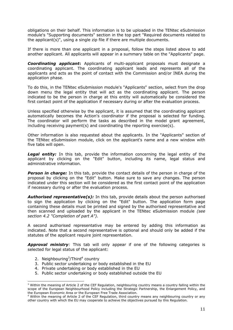obligations on their behalf. This information is to be uploaded in the TENtec eSubmission module's "Supporting documents" section in the top part "Required documents related to the applicant(s)", using a single zip file if there are multiple documents.

If there is more than one applicant in a proposal, follow the steps listed above to add another applicant. All applicants will appear in a summary table on the "Applicants" page.

*Coordinating applicant***:** Applicants of multi-applicant proposals must designate a coordinating applicant. The coordinating applicant leads and represents all of the applicants and acts as the point of contact with the Commission and/or INEA during the application phase.

To do this, in the TENtec eSubmission module's "Applicants" section, select from the drop down menu the legal entity that will act as the coordinating applicant. The person indicated to be the person in charge at this entity will automatically be considered the first contact point of the application if necessary during or after the evaluation process.

Unless specified otherwise by the applicant, it is assumed that the coordinating applicant automatically becomes the Action's coordinator if the proposal is selected for funding. The coordinator will perform the tasks as described in the model grant agreement, including receiving payment(s) and coordinating the reporting exercise(s).

Other information is also requested about the applicants. In the "Applicants" section of the TENtec eSubmission module, click on the applicant's name and a new window with five tabs will open.

**Legal entity:** In this tab, provide the information concerning the legal entity of the applicant by clicking on the "Edit" button, including its name, legal status and administrative information.

**Person in charge:** In this tab, provide the contact details of the person in charge of the proposal by clicking on the "Edit" button. Make sure to save any changes. The person indicated under this section will be considered as the first contact point of the application if necessary during or after the evaluation process.

*Authorised representative(s):* In this tab, provide details about the person authorised to sign the application by clicking on the "Edit" button. The application form page containing these details must be printed and signed by the authorised representative and then scanned and uploaded by the applicant in the TENtec eSubmission module *(see section 4.2 "Completion of part A").*

A second authorised representative may be entered by adding this information as indicated. Note that a second representative is optional and should only be added if the statutes of the applicant require joint representation.

*Approval ministry:* This tab will only appear if one of the following categories is selected for legal status of the applicant:

2. Neighbouring<sup>3</sup>/Third<sup>4</sup> country

-

- 3. Public sector undertaking or body established in the EU
- 4. Private undertaking or body established in the EU
- 5. Public sector undertaking or body established outside the EU

<sup>3</sup> Within the meaning of Article 2 of the CEF Regulation, neighbouring country means a country falling within the scope of the European Neighbourhood Policy including the Strategic Partnership, the Enlargement Policy, and the European Economic Area or the European Free Trade Association.

<sup>&</sup>lt;sup>4</sup> Within the meaning of Article 2 of the CEF Regulation, third country means any neighbouring country or any other country with which the EU may cooperate to achieve the objectives pursued by this Regulation.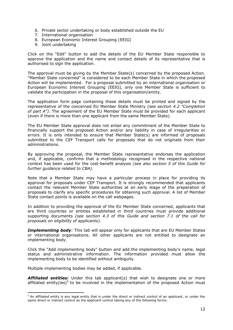- 6. Private sector undertaking or body established outside the EU
- 7. International organisation
- 8. European Economic Interest Grouping (EEIG)
- 9. Joint undertaking

Click on the "Edit" button to add the details of the EU Member State responsible to approve the application and the name and contact details of its representative that is authorised to sign the application.

The approval must be giving by the Member State(s) concerned by the proposed Action. "Member State concerned" is considered to be each Member State in which the proposed Action will be implemented. For a proposal submitted by an international organisation or European Economic Interest Grouping (EEIG), only one Member State is sufficient to validate the participation in the proposal of this organisation/entity.

The application form page containing these details must be printed and signed by the representative of the concerned EU Member State Ministry *(see section 4.2 "Completion of part A")*. The agreement of the EU Member State must be provided for each applicant (even if there is more than one applicant from the same Member State).

The EU Member State approval does not entail any commitment of the Member State to financially support the proposed Action and/or any liability in case of irregularities or errors. It is only intended to ensure that Member State(s) are informed of proposals submitted to the CEF Transport calls for proposals that do not originate from their administrations.

By approving the proposal, the Member State representative endorses the application and, if applicable, confirms that a methodology recognised in the respective national context has been used for the cost-benefit analysis *(see also section 5 of this Guide for further guidance related to CBA)*.

Note that a Member State may have a particular process in place for providing its approval for proposals under CEF Transport. It is strongly recommended that applicants contact the relevant Member State authorities at an early stage of the preparation of proposals to clarify any specific procedures for obtaining such approval. A list of Member State contact points is available on the call webpages.

In addition to providing the approval of the EU Member State concerned, applicants that are third countries or entities established in third countries must provide additional supporting documents *(see section 4.3 of this Guide and section 7.1 of the call for proposals on eligibility of applicants)*.

*Implementing body:* This tab will appear only for applicants that are EU Member States or international organisations. All other applicants are not entitled to designate an implementing body.

Click the "Add implementing body" button and add the implementing body's name, legal status and administrative information. The information provided must allow the implementing body to be identified without ambiguity.

Multiple implementing bodies may be added, if applicable.

-

**Affiliated entities:** Under this tab applicant(s) that wish to designate one or more affiliated entity(ies)<sup>5</sup> to be involved in the implementation of the proposed Action must

 $^5$  An affiliated entity is any legal entity that is under the direct or indirect control of an applicant, or under the same direct or indirect control as the applicant control taking any of the following forms: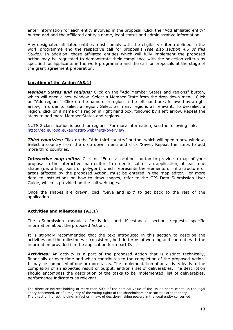enter information for each entity involved in the proposal. Click the "Add affiliated entity" button and add the affiliated entity's name, legal status and administrative information.

Any designated affiliated entities must comply with the eligibility criteria defined in the work programme and the respective call for proposals *(see also section 4.3 of this Guide)*. In addition, those affiliated entities which will fully implement the proposed action may be requested to demonstrate their compliance with the selection criteria as specified for applicants in the work programme and the call for proposals at the stage of the grant agreement preparation.

#### **Location of the Action (A3.1)**

*Member States and regions:* Click on the "Add Member States and regions" button, which will open a new window. Select a Member State from the drop down menu. Click on "Add regions". Click on the name of a region in the left hand box, followed by a right arrow, in order to select a region. Select as many regions as relevant. To de-select a region, click on a name of a region in right hand box, followed by a left arrow. Repeat the steps to add more Member States and regions.

NUTS 2 classification is used for regions. For more information, see the following link: [http://ec.europa.eu/eurostat/web/nuts/overview.](http://ec.europa.eu/eurostat/web/nuts/overview)

**Third countries:** Click on the "Add third country" button, which will open a new window. Select a country from the drop down menu and click 'Save'. Repeat the steps to add more third countries.

*Interactive map editor:* Click on "Enter a location" button to provide a map of your proposal in the interactive map editor. In order to submit an application, at least one shape (i.e. a line, point or polygon), which represents the elements of infrastructure or areas affected by the proposed Action, must be entered in the map editor. For more detailed instructions on how to draw shapes, refer to the GIS Data Submission User Guide, which is provided on the call webpages.

Once the shapes are drawn, click 'Save and exit' to get back to the rest of the application.

#### **Activities and Milestones (A3.1)**

The eSubmission module's "Activities and Milestones" section requests specific information about the proposed Action.

It is strongly recommended that the text introduced in this section to describe the activities and the milestones is consistent, both in terms of wording and content, with the information provided i in the application form part D.

*Activities:* An activity is a part of the proposed Action that is distinct technically, financially or over time and which contributes to the completion of the proposed Action. It may be composed of one or more tasks. The implementation of an activity leads to the completion of an expected result or output, and/or a set of deliverables. The description should encompass the description of the tasks to be implemented, list of deliverables, performance indicators as relevant.

<sup>-</sup>The direct or indirect holding of more than 50% of the nominal value of the issued share capital in the legal entity concerned, or of a majority of the voting rights of the shareholders or associates of that entity The direct or indirect holding, in fact or in law, of decision-making powers in the legal entity concerned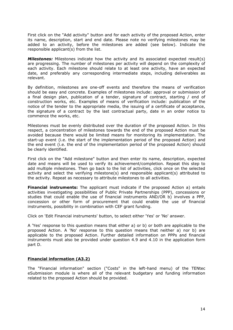First click on the "Add activity" button and for each activity of the proposed Action, enter its name, description, start and end date. Please note no verifying milestones may be added to an activity, before the milestones are added (see below). Indicate the responsible applicant(s) from the list.

*Milestones:* Milestones indicate how the activity and its associated expected result(s) are progressing. The number of milestones per activity will depend on the complexity of each activity. Each milestone should relate to at least one activity, have an expected date, and preferably any corresponding intermediate steps, including deliverables as relevant.

By definition, milestones are one-off events and therefore the means of verification should be easy and concrete. Examples of milestones include: approval or submission of a final design plan, publication of a tender, signature of contract, starting / end of construction works, etc. Examples of means of verification include: publication of the notice of the tender to the appropriate media, the issuing of a certificate of acceptance, the signature of a contract by the last contractual party, date in an order notice to commence the works, etc.

Milestones must be evenly distributed over the duration of the proposed Action. In this respect, a concentration of milestones towards the end of the proposed Action must be avoided because there would be limited means for monitoring its implementation. The start-up event (i.e. the start of the implementation period of the proposed Action) and the end event (i.e. the end of the implementation period of the proposed Action) should be clearly identified.

First click on the "Add milestone" button and then enter its name, description, expected date and means will be used to verify its achievement/completion. Repeat this step to add multiple milestones. Then go back to the list of activities, click once on the selected activity and select the verifying milestone(s) and responsible applicant(s) attributed to the activity. Repeat as necessary to attribute milestones to all activities.

**Financial instruments:** The applicant must indicate if the proposed Action a) entails activities investigating possibilities of Public Private Partnerships (PPP), concessions or studies that could enable the use of financial instruments AND/OR b) involves a PPP, concession or other form of procurement that could enable the use of financial instruments, possibility in combination with CEF grant funding.

Click on 'Edit Financial instruments' button, to select either 'Yes' or 'No' answer.

A 'Yes' response to this question means that either a) or b) or both are applicable to the proposed Action. A 'No' response to this question means that neither a) nor b) are applicable to the proposed Action. Further detailed information on PPPs and financial instruments must also be provided under question 4.9 and 4.10 in the application form part D.

#### **Financial information (A3.2)**

The "Financial information" section ("Costs" in the left-hand menu) of the TENtec eSubmission module is where all of the relevant budgetary and funding information related to the proposed Action should be provided.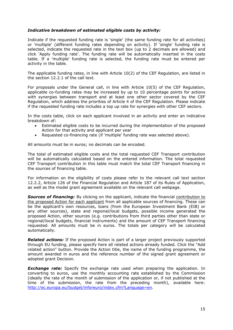#### *Indicative breakdown of estimated eligible costs by activity:*

Indicate if the requested funding rate is 'single' (the same funding rate for all activities) or 'multiple' (different funding rates depending on activity). If 'single' funding rate is selected, indicate the requested rate in the text box (up to 2 decimals are allowed) and click 'Apply funding rate'. The funding rate will be automatically inserted in the costs table. If a 'multiple' funding rate is selected, the funding rate must be entered per activity in the table.

The applicable funding rates, in line with Article 10(2) of the CEF Regulation, are listed in the section 12.2.1 of the call text.

For proposals under the General call, in line with Article 10(5) of the CEF Regulation, applicable co-funding rates may be increased by up to 10 percentage points for actions with synergies between transport and at least one other sector covered by the CEF Regulation, which address the priorities of Article 4 of the CEF Regulation. Please indicate if the requested funding rate includes a top up rate for synergies with other CEF sectors.

In the costs table, click on each applicant involved in an activity and enter an indicative breakdown of:

- Estimated eligible costs to be incurred during the implementation of the proposed Action for that activity and applicant per year
- Requested co-financing rate (if 'multiple' funding rate was selected above).

All amounts must be in euros; no decimals can be encoded.

The total of estimated eligible costs and the total requested CEF Transport contribution will be automatically calculated based on the entered information. The total requested CEF Transport contribution in this table must match the total CEF Transport financing in the sources of financing table.

For information on the eligibility of costs please refer to the relevant call text section 12.2.2, Article 126 of the Financial Regulation and Article 187 of its Rules of Application, as well as the model grant agreement available on the relevant call webpage.

**Sources of financing:** By clicking on the applicant, indicate the financial contribution to the proposed Action for each applicant from all applicable sources of financing. These can be the applicant's own resources, loans (from the European Investment Bank (EIB) or any other sources), state and regional/local budgets, possible income generated the proposed Action, other sources (e.g. contributions from third parties other than state or regional/local budgets, financial instruments) and the amount of CEF Transport financing requested. All amounts must be in euros. The totals per category will be calculated automatically.

**Related actions:** If the proposed Action is part of a larger project previously supported through EU funding, please specify here all related actions already funded. Click the "Add related action" button. Provide the Action title, the name of the funding programme, the amount awarded in euros and the reference number of the signed grant agreement or adopted grant Decision.

**Exchange rate:** Specify the exchange rate used when preparing the application. In converting to euros, use the monthly accounting rate established by the Commission (ideally the rate of the month of submission of the application or, if not published at the time of the submission, the rate from the preceding month), available here: [http://ec.europa.eu/budget/inforeuro/index.cfm?Language=en.](http://ec.europa.eu/budget/inforeuro/index.cfm?Language=en)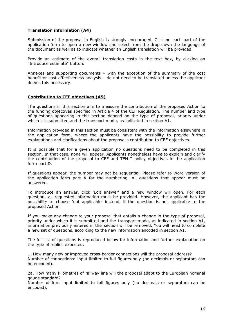#### **Translation information (A4)**

Submission of the proposal in English is strongly encouraged. Click on each part of the application form to open a new window and select from the drop down the language of the document as well as to indicate whether an English translation will be provided.

Provide an estimate of the overall translation costs in the text box, by clicking on "Introduce estimate" button.

Annexes and supporting documents – with the exception of the summary of the cost benefit or cost-effectiveness analysis – do not need to be translated unless the applicant deems this necessary.

#### **Contribution to CEF objectives (A5)**

The questions in this section aim to measure the contribution of the proposed Action to the funding objectives specified in Article 4 of the CEF Regulation. The number and type of questions appearing in this section depend on the type of proposal, priority under which it is submitted and the transport mode, as indicated in section A1.

Information provided in this section must be consistent with the information elsewhere in the application form, where the applicants have the possibility to provide further explanations and clarifications about the proposal's contribution to CEF objectives.

It is possible that for a given application no questions need to be completed in this section. In that case, none will appear. Applicants nonetheless have to explain and clarify the contribution of the proposal to CEF and TEN-T policy objectives in the application form part D.

If questions appear, the number may not be sequential. Please refer to Word version of the application form part A for the numbering. All questions that appear must be answered.

To introduce an answer, click 'Edit answer' and a new window will open. For each question, all requested information must be provided. However, the applicant has the possibility to choose 'not applicable' instead, if the question is not applicable to the proposed Action.

If you make any change to your proposal that entails a change in the type of proposal, priority under which it is submitted and the transport mode, as indicated in section A1, information previously entered in this section will be removed. You will need to complete a new set of questions, according to the new information encoded in section A1.

The full list of questions is reproduced below for information and further explanation on the type of replies expected:

1. How many new or improved cross-border connections will the proposal address? Number of connections: input limited to full figures only (no decimals or separators can be encoded).

2a. How many kilometres of railway line will the proposal adapt to the European nominal gauge standard?

Number of km: input limited to full figures only (no decimals or separators can be encoded).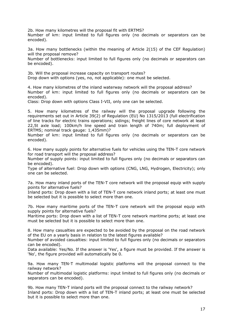2b. How many kilometres will the proposal fit with ERTMS?

Number of km: input limited to full figures only (no decimals or separators can be encoded).

3a. How many bottlenecks (within the meaning of Article 2(15) of the CEF Regulation) will the proposal remove?

Number of bottlenecks: input limited to full figures only (no decimals or separators can be encoded).

3b. Will the proposal increase capacity on transport routes? Drop down with options (yes, no, not applicable): one must be selected.

4. How many kilometres of the inland waterway network will the proposal address? Number of km: input limited to full figures only (no decimals or separators can be encoded).

Class: Drop down with options Class I-VII, only one can be selected.

5. How many kilometres of the railway will the proposal upgrade following the requirements set out in Article 39(2) of Regulation (EU) No 1315/2013 (full electrification of line tracks for electric trains operations; sidings; freight lines of core network at least 22,5t axle load; 100km/h line speed and train length of 740m; full deployment of ERTMS; nominal track gauge: 1,435mm)?

Number of km: input limited to full figures only (no decimals or separators can be encoded).

6. How many supply points for alternative fuels for vehicles using the TEN-T core network for road transport will the proposal address?

Number of supply points: input limited to full figures only (no decimals or separators can be encoded).

Type of alternative fuel: Drop down with options (CNG, LNG, Hydrogen, Electricity); only one can be selected.

7a. How many inland ports of the TEN-T core network will the proposal equip with supply points for alternative fuels?

Inland ports: Drop down with a list of TEN-T core network inland ports; at least one must be selected but it is possible to select more than one.

7b. How many maritime ports of the TEN-T core network will the proposal equip with supply points for alternative fuels?

Maritime ports: Drop down with a list of TEN-T core network maritime ports; at least one must be selected but it is possible to select more than one.

8. How many casualties are expected to be avoided by the proposal on the road network of the EU on a yearly basis in relation to the latest figures available?

Number of avoided casualties: input limited to full figures only (no decimals or separators can be encoded).

Data available: Yes/No. If the answer is 'Yes', a figure must be provided. If the answer is 'No', the figure provided will automatically be 0.

9a. How many TEN-T multimodal logistic platforms will the proposal connect to the railway network?

Number of multimodal logistic platforms: input limited to full figures only (no decimals or separators can be encoded).

9b. How many TEN-T inland ports will the proposal connect to the railway network? Inland ports: Drop down with a list of TEN-T inland ports; at least one must be selected but it is possible to select more than one.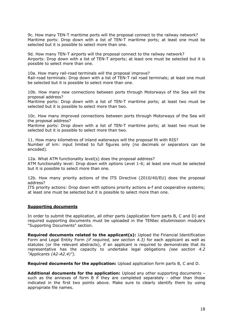9c. How many TEN-T maritime ports will the proposal connect to the railway network? Maritime ports: Drop down with a list of TEN-T maritime ports; at least one must be selected but it is possible to select more than one.

9d. How many TEN-T airports will the proposal connect to the railway network? Airports: Drop down with a list of TEN-T airports; at least one must be selected but it is possible to select more than one.

10a. How many rail-road terminals will the proposal improve? Rail-road terminals: Drop down with a list of TEN-T rail road terminals; at least one must be selected but it is possible to select more than one.

10b. How many new connections between ports through Motorways of the Sea will the proposal address?

Maritime ports: Drop down with a list of TEN-T maritime ports; at least two must be selected but it is possible to select more than two.

10c. How many improved connections between ports through Motorways of the Sea will the proposal address?

Maritime ports: Drop down with a list of TEN-T maritime ports; at least two must be selected but it is possible to select more than two.

11. How many kilometres of inland waterways will the proposal fit with RIS? Number of km: input limited to full figures only (no decimals or separators can be encoded).

12a. What ATM functionality level(s) does the proposal address?

ATM functionality level: Drop down with options Level 1-6; at least one must be selected but it is possible to select more than one.

12b. How many priority actions of the ITS Directive (2010/40/EU) does the proposal address?

ITS priority actions: Drop down with options priority actions a-f and cooperative systems; at least one must be selected but it is possible to select more than one.

#### **Supporting documents**

In order to submit the application, all other parts (application form parts B, C and D) and required supporting documents must be uploaded in the TENtec eSubmission module's "Supporting Documents" section.

**Required documents related to the applicant(s):** Upload the Financial Identification Form and Legal Entity Form *(if required, see section 4.3)* for each applicant as well as statutes (or the relevant abstracts), if an applicant is required to demonstrate that its representative has the capacity to undertake legal obligations *(see section 4.2 "Applicants (A2-A2.4)").*

**Required documents for the application:** Upload application form parts B, C and D.

**Additional documents for the application:** Upload any other supporting documents – such as the annexes of form B if they are completed separately - other than those indicated in the first two points above. Make sure to clearly identify them by using appropriate file names.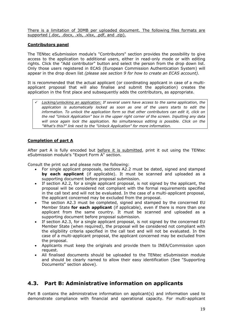There is a limitation of 30MB per uploaded document. The following files formats are supported (.doc, .docx, .xls, .xlsx, .pdf, and .zip).

#### **Contributors panel**

The TENtec eSubmission module's "Contributors" section provides the possibility to give access to the application to additional users, either in read-only mode or with editing rights. Click the "Add contributor" button and select the person from the drop down list. Only those users registered in ECAS (European Commission Authentication System) will appear in the drop down list *(please see section 9 for how to create an ECAS account).*

It is recommended that the actual applicant (or coordinating applicant in case of a multiapplicant proposal that will also finalise and submit the application) creates the application in the first place and subsequently adds the contributors, as appropriate.

 *Locking/unlocking an application: If several users have access to the same application, the application is automatically locked as soon as one of the users starts to edit the information. To unlock the application form so that other contributors can edit it, click on the red "Unlock Application" box in the upper right corner of the screen. Inputting any data*  will once again lock the application. No simultaneous editing is possible. Click on the *"What's this?" link next to the "Unlock Application" for more information.*

#### **Completion of part A**

After part A is fully encoded but before it is submitted, print it out using the TENtec eSubmission module's "Export Form A" section.

Consult the print out and please note the following:

- For single applicant proposals, sections A2.2 must be dated, signed and stamped **by each applicant** (if applicable). It must be scanned and uploaded as a supporting document before proposal submission.
- If section A2.2, for a single applicant proposal, is not signed by the applicant, the proposal will be considered not compliant with the formal requirements specified in the call text and will not be evaluated. In the case of a multi-applicant proposal, the applicant concerned may be excluded from the proposal.
- The section A2.3 must be completed, signed and stamped by the concerned EU Member State **for each applicant** (if applicable), even if there is more than one applicant from the same country. It must be scanned and uploaded as a supporting document before proposal submission.
- If section A2.3, for a single applicant proposal, is not signed by the concerned EU Member State (when required), the proposal will be considered not compliant with the eligibility criteria specified in the call text and will not be evaluated. In the case of a multi-applicant proposal, the applicant concerned may be excluded from the proposal.
- Applicants must keep the originals and provide them to INEA/Commission upon request.
- All finalised documents should be uploaded to the TENtec eSubmission module and should be clearly named to allow their easy identification (See "Supporting Documents" section above).

# <span id="page-18-0"></span>**4.3. Part B: Administrative information on applicants**

Part B contains the administrative information on applicant(s) and information used to demonstrate compliance with financial and operational capacity. For multi-applicant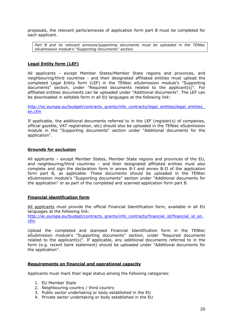proposals, the relevant parts/annexes of application form part B must be completed for each applicant.

*Part B and its relevant annexes/supporting documents must be uploaded in the TENtec eSubmission module's "Supporting Documents" section.*

#### **Legal Entity form (LEF)**

All applicants - except Member States/Member State regions and provinces, and neighbouring/third countries - and their designated affiliated entities must upload the completed Legal Entity form (LEF) in the TENtec eSubmission module's "Supporting documents" section, under "Required documents related to the applicant(s)". For affiliated entities documents can be uploaded under "Additional documents". The LEF can be downloaded in editable form in all EU languages at the following link:

http://ec.europa.eu/budget/contracts\_grants/info\_contracts/legal\_entities/legal\_entities [en.cfm](http://ec.europa.eu/budget/contracts_grants/info_contracts/legal_entities/legal_entities_en.cfm)

If applicable, the additional documents referred to in the LEF (register(s) of companies, official gazette, VAT registration, etc) should also be uploaded in the TENtec eSubmission module in the "Supporting documents" section under "Additional documents for the application".

#### **Grounds for exclusion**

All applicants – except Member States, Member State regions and provinces of the EU, and neighbouring/third countries – and their designated affiliated entities must also complete and sign the declaration form in annex B-I and annex B-II of the application form part B, as applicable. These documents should be uploaded in the TENtec eSubmission module's "Supporting documents" section under "Additional documents for the application" or as part of the completed and scanned application form part B.

#### **Financial identification form**

All applicants must provide the official Financial Identification form, available in all EU languages at the following link:

[http://ec.europa.eu/budget/contracts\\_grants/info\\_contracts/financial\\_id/financial\\_id\\_en.](http://ec.europa.eu/budget/contracts_grants/info_contracts/financial_id/financial_id_en.cfm) [cfm.](http://ec.europa.eu/budget/contracts_grants/info_contracts/financial_id/financial_id_en.cfm)

Upload the completed and stamped Financial Identification form in the TENtec eSubmission module's "Supporting documents" section, under "Required documents related to the applicant(s)". If applicable, any additional documents referred to in the form (e.g. recent bank statement) should be uploaded under "Additional documents for the application".

#### **Requirements on financial and operational capacity**

Applicants must mark their legal status among the following categories:

- 1. EU Member State
- 2. Neighbouring country / third country
- 3. Public sector undertaking or body established in the EU
- 4. Private sector undertaking or body established in the EU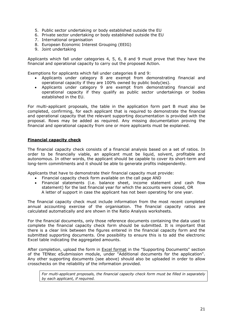- 5. Public sector undertaking or body established outside the EU
- 6. Private sector undertaking or body established outside the EU
- 7. International organisation
- 8. European Economic Interest Grouping (EEIG)
- 9. Joint undertaking

Applicants which fall under categories 4, 5, 6, 8 and 9 must prove that they have the financial and operational capacity to carry out the proposed Action.

Exemptions for applicants which fall under categories 8 and 9:

- Applicants under category 8 are exempt from demonstrating financial and operational capacity if they are 100% owned by public body(ies)*.*
- Applicants under category 9 are exempt from demonstrating financial and operational capacity if they qualify as public sector undertakings or bodies established in the EU.

For multi-applicant proposals, the table in the application form part B must also be completed, confirming, for each applicant that is required to demonstrate the financial and operational capacity that the relevant supporting documentation is provided with the proposal. Rows may be added as required. Any missing documentation proving the financial and operational capacity from one or more applicants must be explained.

#### **Financial capacity check**

The financial capacity check consists of a financial analysis based on a set of ratios. In order to be financially viable, an applicant must be liquid, solvent, profitable and autonomous. In other words, the applicant should be capable to cover its short-term and long-term commitments and it should be able to generate profits independently.

Applicants that have to demonstrate their financial capacity must provide:

- Financial capacity check form available on the call page AND
- Financial statements (i.e. balance sheet, income statement and cash flow statement) for the last financial year for which the accounts were closed, OR A letter of support in case the applicant has not been operating for one year.

The financial capacity check must include information from the most recent completed annual accounting exercise of the organisation. The financial capacity ratios are calculated automatically and are shown in the Ratio Analysis worksheets.

For the financial documents, only those reference documents containing the data used to complete the financial capacity check form should be submitted. It is important that there is a clear link between the figures entered in the financial capacity form and the submitted supporting documents. One possibility to ensure this is to add the electronic Excel table indicating the aggregated amounts.

After completion, upload the form in **Excel format** in the "Supporting Documents" section of the TENtec eSubmission module, under "Additional documents for the application". Any other supporting documents (see above) should also be uploaded in order to allow crosschecks on the reliability of the information provided.

*For multi-applicant proposals, the financial capacity check form must be filled in separately by each applicant, if required.*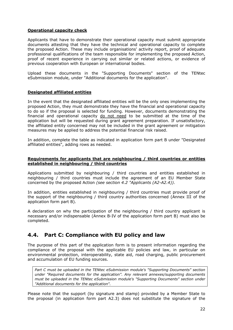#### **Operational capacity check**

Applicants that have to demonstrate their operational capacity must submit appropriate documents attesting that they have the technical and operational capacity to complete the proposed Action. These may include organisations' activity report, proof of adequate professional qualifications of the team responsible for implementing the proposed Action, proof of recent experience in carrying out similar or related actions, or evidence of previous cooperation with European or international bodies.

Upload these documents in the "Supporting Documents" section of the TENtec eSubmission module, under "Additional documents for the application".

#### **Designated affiliated entities**

In the event that the designated affiliated entities will be the only ones implementing the proposed Action, they must demonstrate they have the financial and operational capacity to do so if the proposal is selected for funding. However, documents demonstrating the financial and operational capacity do not need to be submitted at the time of the application but will be requested during grant agreement preparation. If unsatisfactory, the affiliated entity concerned may not be included in the grant agreement or mitigation measures may be applied to address the potential financial risk raised.

In addition, complete the table as indicated in application form part B under "Designated affiliated entities", adding rows as needed.

#### **Requirements for applicants that are neighbouring / third countries or entities established in neighbouring / third countries**

Applications submitted by neighbouring / third countries and entities established in neighbouring / third countries must include the agreement of an EU Member State concerned by the proposed Action *(see section 4.2 "Applicants (A2-A2.4)).*

In addition, entities established in neighbouring / third countries must provide proof of the support of the neighbouring / third country authorities concerned (Annex III of the application form part B).

A declaration on why the participation of the neighbouring / third country applicant is necessary and/or indispensable (Annex B-IV of the application form part B) must also be completed.

# <span id="page-21-0"></span>**4.4. Part C: Compliance with EU policy and law**

The purpose of this part of the application form is to present information regarding the compliance of the proposal with the applicable EU policies and law, in particular on environmental protection, interoperability, state aid, road charging, public procurement and accumulation of EU funding sources.

*Part C must be uploaded in the TENtec eSubmission module's "Supporting Documents" section under "Required documents for the application". Any relevant annexes/supporting documents must be uploaded in the TENtec eSubmission module's "Supporting Documents" section under "Additional documents for the application".*

Please note that the support (by signature and stamp) provided by a Member State to the proposal (in application form part A2.3) does not substitute the signature of the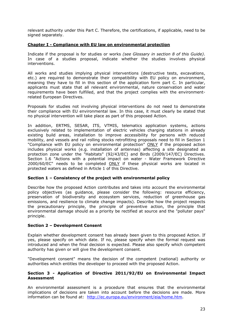relevant authority under this Part C. Therefore, the certifications, if applicable, need to be signed separately.

#### **Chapter I - Compliance with EU law on environmental protection**

Indicate if the proposal is for studies or works *(see Glossary in section 8 of this Guide)*. In case of a studies proposal, indicate whether the studies involves physical interventions.

All works and studies implying physical interventions (destructive tests, excavations, etc.) are required to demonstrate their compatibility with EU policy on environment, meaning they have to fill in this section of the application form part C. In particular, applicants must state that all relevant environmental, nature conservation and water requirements have been fulfilled, and that the project complies with the environmentrelated European Directives.

Proposals for studies not involving physical interventions do not need to demonstrate their compliance with EU environmental law. In this case, it must clearly be stated that no physical intervention will take place as part of this proposed Action.

In addition, ERTMS, SESAR, ITS, VTMIS, telematics application systems, actions exclusively related to implementation of electric vehicles charging stations in already existing build areas, installation to improve accessibility for persons with reduced mobility, and vessels and rail rolling stocks retrofitting proposals need to fill in Section 1 "Compliance with EU policy on environmental protection" ONLY if the proposed action includes physical works (e.g. installation of antennas) affecting a site designated as protection zone under the "Habitats" (92/43/EC) and Birds (2009/147/EC) Directives. Section 1.6 "Actions with a potential impact on water - Water Framework Directive 2000/60/EC" needs to be completed ONLY if these physical works are located in protected waters as defined in Article 1 of this Directive.

#### **Section 1 – Consistency of the project with environmental policy**

Describe how the proposed Action contributes and takes into account the environmental policy objectives (as guidance, please consider the following: resource efficiency, preservation of biodiversity and ecosystem services, reduction of greenhouse gas emissions, and resilience to climate change impacts). Describe how the project respects the precautionary principle, the principle of preventive action, the principle that environmental damage should as a priority be rectified at source and the "polluter pays" principle.

#### **Section 2 – Development Consent**

Explain whether development consent has already been given to this proposed Action. If yes, please specify on which date. If no, please specify when the formal request was introduced and when the final decision is expected. Please also specify which competent authority has given or will give the development consent.

"Development consent" means the decision of the competent (national) authority or authorities which entitles the developer to proceed with the proposed Action.

#### **Section 3 - Application of Directive 2011/92/EU on Environmental Impact Assessment**

An environmental assessment is a procedure that ensures that the environmental implications of decisions are taken into account before the decisions are made. More information can be found at: [http://ec.europa.eu/environment/eia/home.htm.](http://ec.europa.eu/environment/eia/home.htm)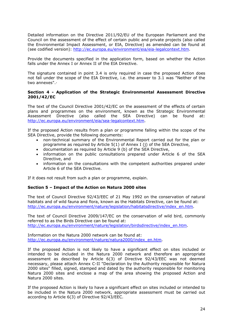Detailed information on the Directive 2011/92/EU of the European Parliament and the Council on the assessment of the effect of certain public and private projects (also called the Environmental Impact Assessment, or EIA, Directive) as amended can be found at (see codified version): [http://ec.europa.eu/environment/eia/eia-legalcontext.htm.](http://ec.europa.eu/environment/eia/eia-legalcontext.htm)

Provide the documents specified in the application form, based on whether the Action falls under the Annex I or Annex II of the EIA Directive.

The signature contained in point 3.4 is only required in case the proposed Action does not fall under the scope of the EIA Directive, i.e. the answer to 3.1 was "Neither of the two annexes".·

#### **Section 4 - Application of the Strategic Environmental Assessment Directive 2001/42/EC**

The text of the Council Directive 2001/42/EC on the assessment of the effects of certain plans and programmes on the environment, known as the Strategic Environmental Assessment Directive (also called the SEA Directive) can be found at: [http://ec.europa.eu/environment/eia/sea-legalcontext.htm.](http://ec.europa.eu/environment/eia/sea-legalcontext.htm)

If the proposed Action results from a plan or programme falling within the scope of the SEA Directive, provide the following documents:

- non-technical summary of the Environmental Report carried out for the plan or programme as required by Article 5(1) of Annex I (j) of the SEA Directive,
- documentation as required by Article 9 (b) of the SEA Directive,
- information on the public consultations prepared under Article 6 of the SEA Directive, and
- information on the consultations with the competent authorities prepared under Article 6 of the SEA Directive.

If it does not result from such a plan or programme, explain.

#### **Section 5 – Impact of the Action on Natura 2000 sites**

The text of Council Directive 92/43/EEC of 21 May 1992 on the conservation of natural habitats and of wild fauna and flora, known as the Habitats Directive, can be found at: [http://ec.europa.eu/environment/nature/legislation/habitatsdirective/index\\_en.htm.](http://ec.europa.eu/environment/nature/legislation/habitatsdirective/index_en.htm)

The text of Council Directive 2009/147/EC on the conservation of wild bird, commonly referred to as the Birds Directive can be found at: [http://ec.europa.eu/environment/nature/legislation/birdsdirective/index\\_en.htm.](http://ec.europa.eu/environment/nature/legislation/birdsdirective/index_en.htm)

Information on the Natura 2000 network can be found at: [http://ec.europa.eu/environment/nature/natura2000/index\\_en.htm.](http://ec.europa.eu/environment/nature/natura2000/index_en.htm)

If the proposed Action is not likely to have a significant effect on sites included or intended to be included in the Natura 2000 network and therefore an appropriate assessment as described by Article 6(3) of Directive 92/43/EEC was not deemed necessary, please attach Annex C-II "Declaration by the Authority responsible for Natura 2000 sites" filled, signed, stamped and dated by the authority responsible for monitoring Natura 2000 sites and enclose a map of the area showing the proposed Action and Natura 2000 sites.

If the proposed Action is likely to have a significant effect on sites included or intended to be included in the Natura 2000 network, appropriate assessment must be carried out according to Article 6(3) of Directive 92/43/EEC.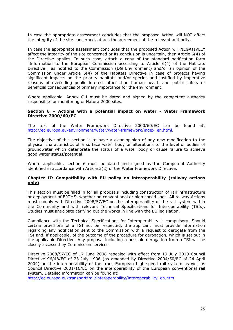In case the appropriate assessment concludes that the proposed Action will NOT affect the integrity of the site concerned, attach the agreement of the relevant authority.

In case the appropriate assessment concludes that the proposed Action will NEGATIVELY affect the integrity of the site concerned or its conclusion is uncertain, then Article 6(4) of the Directive applies. In such case, attach a copy of the standard notification form "Information to the European Commission according to Article 6(4) of the Habitats Directive , as notified to the Commission (DG Environment) and/or an opinion of the Commission under Article 6(4) of the Habitats Directive in case of projects having significant impacts on the priority habitats and/or species and justified by imperative reasons of overriding public interest other than human health and public safety or beneficial consequences of primary importance for the environment.

Where applicable, Annex C-I must be dated and signed by the competent authority responsible for monitoring of Natura 2000 sites.

#### **Section 6 – Actions with a potential impact on water - Water Framework Directive 2000/60/EC**

The text of the Water Framework Directive 2000/60/EC can be found at: [http://ec.europa.eu/environment/water/water-framework/index\\_en.html.](http://ec.europa.eu/environment/water/water-framework/index_en.html)

The objective of this section is to have a clear opinion of any new modification to the physical characteristics of a surface water body or alterations to the level of bodies of groundwater which deteriorate the status of a water body or cause failure to achieve good water status/potential.

Where applicable, section 6 must be dated and signed by the Competent Authority identified in accordance with Article 3(2) of the Water Framework Directive.

#### **Chapter II: Compatibility with EU policy on interoperability (railway actions only)**

This section must be filled in for all proposals including construction of rail infrastructure or deployment of ERTMS, whether on conventional or high speed lines. All railway Actions must comply with Directive 2008/57/EC on the interoperability of the rail system within the Community and with relevant Technical Specifications for Interoperability (TSIs). Studies must anticipate carrying out the works in line with the EU legislation.

Compliance with the Technical Specifications for Interoperability is compulsory. Should certain provisions of a TSI not be respected, the applicant must provide information regarding any notification sent to the Commission with a request to derogate from the TSI and, if applicable, of the outcome of the procedure for derogation, which is set out in the applicable Directive. Any proposal including a possible derogation from a TSI will be closely assessed by Commission services.

Directive 2008/57/EC of 17 June 2008 repealed with effect from 19 July 2010 Council Directive 96/48/EC of 23 July 1996 (as amended by Directive 2004/50/EC of 24 April 2004) on the interoperability of the trans-European high-speed rail system as well as Council Directive 2001/16/EC on the interoperability of the European conventional rail system. Detailed information can be found at:

[http://ec.europa.eu/transport/rail/interoperability/interoperability\\_en.htm](http://ec.europa.eu/transport/rail/interoperability/interoperability_en.htm)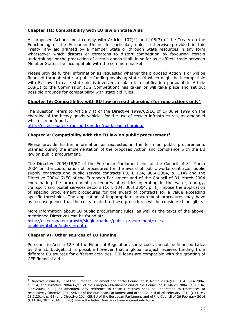#### **Chapter III: Compatibility with EU law on State Aids**

All proposed Actions must comply with Articles 107(1) and 108(3) of the Treaty on the Functioning of the European Union. In particular, unless otherwise provided in this Treaty, any aid granted by a Member State or through State resources in any form whatsoever which distorts or threatens to distort competition by favouring certain undertakings or the production of certain goods shall, in so far as it affects trade between Member States, be incompatible with the common market.

Please provide further information as requested whether the proposed Action is or will be financed through state or public funding involving state aid which might be incompatible with EU law. In case state aid is involved, explain if a notification pursuant to Article 108(3) to the Commission (DG Competition) has taken or will take place and set out possible grounds for compatibility with state aid rules.

#### **Chapter IV: Compatibility with EU law on road charging (for road actions only)**

The question refers to Article 7(f) of the Directive 1999/62/EC of 17 June 1999 on the charging of the heavy goods vehicles for the use of certain infrastructures, as amended which can be found at:

[http://ec.europa.eu/transport/modes/road/road\\_charging/](http://ec.europa.eu/transport/modes/road/road_charging/)

#### **Chapter V: Compatibility with the EU law on public procurement<sup>6</sup>**

Please provide further information as requested in the form on public procurements planned during the implementation of the proposed Action and compliance with the EU law on public procurement.

The Directive 2004/18/EC of the European Parliament and of the Council of 31 March 2004 on the coordination of procedures for the award of public works contracts, public supply contracts and public service contracts (OJ L 134, 30.4.2004, p. 114) and the Directive 2004/17/EC of the European Parliament and of the Council of 31 March 2004 coordinating the procurement procedures of entities operating in the water, energy, transport and postal services sectors (OJ L 134, 30.4.2004, p. 1) impose the application of specific procurement procedures for the award of contracts for a value exceeding specific thresholds. The application of inappropriate procurement procedures may have as a consequence that the costs related to these procedures will be considered ineligible.

More information about EU public procurement rules, as well as the texts of the abovementioned Directives can be found at: [http://ec.europa.eu/growth/single-market/public-procurement/rules](http://ec.europa.eu/growth/single-market/public-procurement/rules-implementation/index_en.htm)[implementation/index\\_en.htm](http://ec.europa.eu/growth/single-market/public-procurement/rules-implementation/index_en.htm)

#### **Chapter VI- Other sources of EU funding**

-

Pursuant to Article 129 of the Financial Regulation, same costs cannot be financed twice by the EU budget. It is possible however that a global project receives funding from different EU sources for different activities. EIB loans are compatible with the granting of CEF financial aid.

<sup>6</sup> Directive 2004/18/EC of the European Parliament and of the Council of 31 March 2004 (OJ L 134, 30.4.2004, p. 114) and Directive 2004/17/EC of the European Parliament and of the Council of 31 March 2004 (OJ L 134, 30.4.2004, p. 1) as amended. Any reference to these Directives shall be understood to references to respectively Directive 2014/24/EU of the European Parliament and of the Council of 26 February 2014 (OJ L 94, 28.3.2014, p. 65) and Directive 2014/25/EU of the European Parliament and of the Council of 26 February 2014 (OJ L 94, 28.3.2014, p. 243) where the latter Directives have entered into force.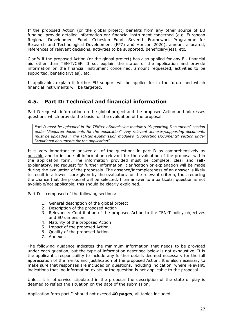If the proposed Action (or the global project) benefits from any other source of EU funding, provide detailed information on: financial instrument concerned (e.g. European Regional Development Fund, Cohesion Fund, Seventh Framework Programme for Research and Technological Development (FP7) and Horizon 2020), amount allocated, references of relevant decisions, activities to be supported, beneficiary(ies), etc.

Clarify if the proposed Action (or the global project) has also applied for any EU financial aid other than TEN-T/CEF. If so, explain the status of the application and provide information on the financial instrument concerned, amount requested, activities to be supported, beneficiary(ies), etc.

If applicable, explain if further EU support will be applied for in the future and which financial instruments will be targeted.

# <span id="page-26-0"></span>**4.5. Part D: Technical and financial information**

Part D requests information on the global project and the proposed Action and addresses questions which provide the basis for the evaluation of the proposal.

*Part D must be uploaded in the TENtec eSubmission module's "Supporting Documents" section under "Required documents for the application". Any relevant annexes/supporting documents must be uploaded in the TENtec eSubmission module's "Supporting Documents" section under "Additional documents for the application".*

It is very important to answer all of the questions in part D as comprehensively as possible and to include all information relevant for the evaluation of the proposal within the application form. The information provided must be complete, clear and selfexplanatory. No request for further information, clarification or explanation will be made during the evaluation of the proposals. The absence/incompleteness of an answer is likely to result in a lower score given by the evaluators for the relevant criteria, thus reducing the chance that the proposal will be selected. If an answer to a particular question is not available/not applicable, this should be clearly explained.

Part D is composed of the following sections:

- 1. General description of the global project
- 2. Description of the proposed Action
- 3. Relevance: Contribution of the proposed Action to the TEN-T policy objectives and EU dimension
- 4. Maturity of the proposed Action
- 5. Impact of the proposed Action
- 6. Quality of the proposed Action
- 7. Annexes

The following guidance indicates the minimum information that needs to be provided under each question, but the type of information described below is not exhaustive. It is the applicant's responsibility to include any further details deemed necessary for the full appreciation of the merits and justification of the proposed Action. It is also necessary to make sure that responses are included on questions, including indication, where relevant, indications that no information exists or the question is not applicable to the proposal.

Unless it is otherwise stipulated in the proposal the description of the state of play is deemed to reflect the situation on the date of the submission.

Application form part D should not exceed **40 pages**, all tables included.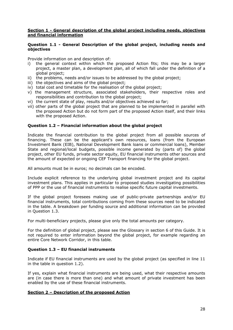#### **Section 1 - General description of the global project including needs, objectives and financial information**

#### **Question 1.1 - General Description of the global project, including needs and objectives**

Provide information on and description of:

- i) the general context within which the proposed Action fits; this may be a larger project, a master plan, a development plan, all of which fall under the definition of a global project;
- ii) the problems, needs and/or issues to be addressed by the global project;
- iii) the objectives and aims of the global project;
- iv) total cost and timetable for the realisation of the global project;
- v) the management structure, associated stakeholders, their respective roles and responsibilities and contribution to the global project;
- vi) the current state of play, results and/or objectives achieved so far;
- vii) other parts of the global project that are planned to be implemented in parallel with the proposed Action but do not form part of the proposed Action itself, and their links with the proposed Action.

#### **Question 1.2 – Financial information about the global project**

Indicate the financial contribution to the global project from all possible sources of financing. These can be the applicant's own resources, loans (from the European Investment Bank (EIB), National Development Bank loans or commercial loans), Member State and regional/local budgets, possible income generated by (parts of) the global project, other EU funds, private sector equity, EU financial instruments other sources and the amount of expected or ongoing CEF Transport financing for the global project.

All amounts must be in euros; no decimals can be encoded.

Include explicit reference to the underlying global investment project and its capital investment plans. This applies in particular to proposed studies investigating possibilities of PPP or the use of financial instruments to realise specific future capital investments.

If the global project foresees making use of public-private partnerships and/or EU financial instruments, total contributions coming from these sources need to be indicated in the table. A breakdown per funding source and additional information can be provided in Question 1.3.

For multi-beneficiary projects, please give only the total amounts per category.

For the definition of global project, please see the Glossary in section 6 of this Guide. It is not required to enter information beyond the global project, for example regarding an entire Core Network Corridor, in this table.

#### **Question 1.3 – EU financial instruments**

Indicate if EU financial instruments are used by the global project (as specified in line 11 in the table in question 1.2).

If yes, explain what financial instruments are being used, what their respective amounts are (in case there is more than one) and what amount of private investment has been enabled by the use of these financial instruments.

#### **Section 2 – Description of the proposed Action**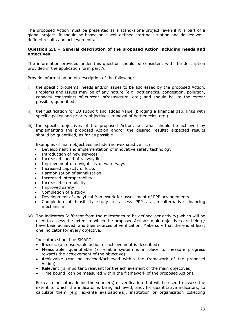The proposed Action must be presented as a stand-alone project, even if it is part of a global project. It should be based on a well-defined starting situation and deliver welldefined results and achievements.

#### **Question 2.1 – General description of the proposed Action including needs and objectives**

The information provided under this question should be consistent with the description provided in the application form part A.

Provide information on or description of the following:

- i) the specific problems, needs and/or issues to be addressed by the proposed Action. Problems and issues may be of any nature (e.g. bottlenecks, congestion, pollution, capacity constraints of current infrastructure, etc.) and should be, to the extent possible, quantified;
- ii) the justification for EU support and added value (bridging a financial gap, links with specific policy and priority objectives, removal of bottlenecks, etc.).
- iii) the specific objectives of the proposed Action, i.e. what should be achieved by implementing the proposed Action and/or the desired results; expected results should be quantified, as far as possible.

Examples of main objectives include (non-exhaustive list):

- Development and implementation of innovative safety technology
- Introduction of new services
- Increased speed of railway link
- Improvement of navigability of waterways
- Increased capacity of locks
- Harmonisation of signalisation
- Increased interoperability
- Increased co-modality
- Improved safety
- Completion of a study
- Development of analytical framework for assessment of PPP arrangements
- Completion of feasibility study to assess PPP as an alternative financing mechanism
- iv) The indicators (different from the milestones to be defined per activity) which will be used to assess the extent to which the proposed Action's main objectives are being / have been achieved, and their sources of verification. Make sure that there is at least one indicator for every objective.

Indicators should be SMART:

- **S**pecific (an observable action or achievement is described)
- **M**easurable, quantifiable (a reliable system is in place to measure progress towards the achievement of the objective)
- **A**chievable (can be reached/achieved within the framework of the proposed Action)
- **R**elevant (is important/relevant for the achievement of the main objectives)
- Time bound (can be measured within the framework of the proposed Action).

For each indicator, define the source(s) of verification that will be used to assess the extent to which the indicator is being achieved, and, for quantitative indicators, to calculate them (e.g. ex-ante evaluation(s), institution or organisation collecting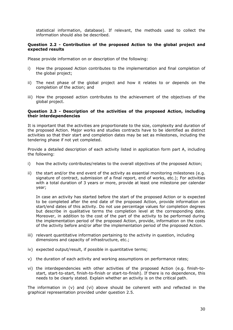statistical information, database). If relevant, the methods used to collect the information should also be described.

#### **Question 2.2 - Contribution of the proposed Action to the global project and expected results**

Please provide information on or description of the following:

- i) How the proposed Action contributes to the implementation and final completion of the global project;
- ii) The next phase of the global project and how it relates to or depends on the completion of the action; and
- iii) How the proposed action contributes to the achievement of the objectives of the global project.

#### **Question 2.3 - Description of the activities of the proposed Action, including their interdependencies**

It is important that the activities are proportionate to the size, complexity and duration of the proposed Action. Major works and studies contracts have to be identified as distinct activities so that their start and completion dates may be set as milestones, including the tendering phase if not yet completed.

Provide a detailed description of each activity listed in application form part A, including the following:

- i) how the activity contributes/relates to the overall objectives of the proposed Action;
- ii) the start and/or the end event of the activity as essential monitoring milestones (e.g. signature of contract, submission of a final report, end of works, etc.); For activities with a total duration of 3 years or more, provide at least one milestone per calendar year;

In case an activity has started before the start of the proposed Action or is expected to be completed after the end date of the proposed Action, provide information on start/end dates of this activity. Do not use percentage values for completion degrees but describe in qualitative terms the completion level at the corresponding date. Moreover, in addition to the cost of the part of the activity to be performed during the implementation period of the proposed Action, provide, information on the costs of the activity before and/or after the implementation period of the proposed Action.

- iii) relevant quantitative information pertaining to the activity in question, including dimensions and capacity of infrastructure, etc.;
- iv) expected output/result, if possible in quantitative terms;
- v) the duration of each activity and working assumptions on performance rates;
- vi) the interdependencies with other activities of the proposed Action (e.g. finish-tostart, start-to-start, finish-to-finish or start-to-finish). If there is no dependence, this needs to be clearly stated. Explain whether an activity is on the critical path.

The information in  $(v)$  and  $(vi)$  above should be coherent with and reflected in the graphical representation provided under question 2.5.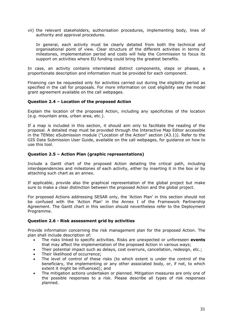vii) the relevant stakeholders, authorisation procedures, implementing body, lines of authority and approval procedures.

In general, each activity must be clearly detailed from both the technical and organisational point of view. Clear structure of the different activities in terms of milestones, implementation period and costs will help the Commission to focus its support on activities where EU funding could bring the greatest benefits.

In case, an activity contains interrelated distinct components, steps or phases, a proportionate description and information must be provided for each component.

Financing can be requested only for activities carried out during the eligibility period as specified in the call for proposals. For more information on cost eligibility see the model grant agreement available on the call webpages.

#### **Question 2.4 – Location of the proposed Action**

Explain the location of the proposed Action, including any specificities of the location (e.g. mountain area, urban area, etc.).

If a map is included in this section, it should aim only to facilitate the reading of the proposal. A detailed map must be provided through the Interactive Map Editor accessible in the TENtec eSubmission module ("Location of the Action" section (A3.1)). Refer to the GIS Data Submission User Guide, available on the call webpages, for guidance on how to use this tool.

#### **Question 2.5 – Action Plan (graphic representations)**

Include a Gantt chart of the proposed Action detailing the critical path, including interdependencies and milestones of each activity, either by inserting it in the box or by attaching such chart as an annex.

If applicable, provide also the graphical representation of the global project but make sure to make a clear distinction between the proposed Action and the global project.

For proposed Actions addressing SESAR only, the 'Action Plan' in this section should not be confused with the 'Action Plan' in the Annex I of the Framework Partnership Agreement. The Gantt chart in this section should nevertheless refer to the Deployment Programme.

#### **Question 2.6 - Risk assessment grid by activities**

Provide information concerning the risk management plan for the proposed Action. The plan shall include description of:

- The risks linked to specific activities. Risks are unexpected or unforeseen **events** that may affect the implementation of the proposed Action in various ways;
- Their potential impact such as delays, cost overruns, cancellation, redesign, etc.;
- Their likelihood of occurrence;
- The level of control of these risks (to which extent is under the control of the beneficiary, the implementing or any other associated body, or, if not, to which extent it might be influenced); and
- The mitigation actions undertaken or planned. Mitigation measures are only one of the possible responses to a risk. Please describe all types of risk responses planned.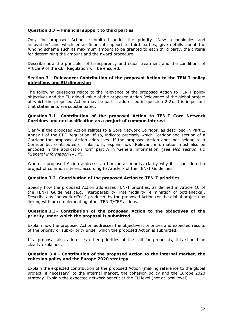#### **Question 2.7 – Financial support to third parties**

Only for proposed Actions submitted under the priority "New technologies and innovation" and which entail financial support to third parties, give details about the funding scheme such as maximum amount to be granted to each third party, the criteria for determining the amount and the award procedure.

Describe how the principles of transparency and equal treatment and the conditions of Article 9 of the CEF Regulation will be ensured.

#### **Section 3 - Relevance: Contribution of the proposed Action to the TEN-T policy objectives and EU dimension**

The following questions relate to the relevance of the proposed Action to TEN-T policy objectives and the EU added value of the proposed Action (relevance of the global project of which the proposed Action may be part is addressed in question 2.2). It is important that statements are substantiated.

#### **Question 3.1- Contribution of the proposed Action to TEN-T Core Network Corridors and or classification as a project of common interest**

Clarify if the proposed Action relates to a Core Network Corridor, as described in Part I, Annex I of the CEF Regulation. If so, indicate precisely which Corridor and section of a Corridor the proposed Action addresses. If the proposed Action does not belong to a Corridor but contributes or links to it, explain how. Relevant information must also be encoded in the application form part A in 'General information' *(see also section 4.1 "General information (A1)"*.

Where a proposed Action addresses a horizontal priority, clarify why it is considered a project of common interest according to Article 7 of the TEN-T Guidelines.

#### **Question 3.2- Contribution of the proposed Action to TEN-T priorities**

Specify how the proposed Action addresses TEN-T priorities, as defined in Article 10 of the TEN-T Guidelines (e.g. interoperability, intermodality, elimination of bottlenecks). Describe any "network effect" produced by the proposed Action (or the global project) by linking with or complementing other TEN-T/CEF actions.

#### **Question 3.3- Contribution of the proposed Action to the objectives of the priority under which the proposal is submitted**

Explain how the proposed Action addresses the objectives, priorities and expected results of the priority or sub-priority under which the proposed Action is submitted.

If a proposal also addresses other priorities of the call for proposals, this should be clearly explained.

#### **Question 3.4 - Contribution of the proposed Action to the internal market, the cohesion policy and the Europe 2020 strategy**

Explain the expected contribution of the proposed Action (making reference to the global project, if necessary) to the internal market, the cohesion policy and the Europe 2020 strategy. Explain the expected network benefit at the EU level (not at local level).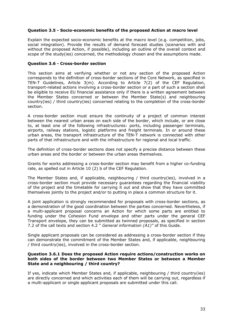#### **Question 3.5 - Socio-economic benefits of the proposed Action at macro level**

Explain the expected socio-economic benefits at the macro level (e.g. competition, jobs, social integration). Provide the results of demand forecast studies (scenarios with and without the proposed Action, if possible), including an outline of the overall context and scope of the study(ies) concerned, the methodology chosen and the assumptions made.

#### **Question 3.6 - Cross-border section**

This section aims at verifying whether or not any section of the proposed Action corresponds to the definition of cross-border sections of the Core Network, as specified in TEN-T Guidelines, Article 3(m). According to Article 7(2) of the CEF Regulation, transport-related actions involving a cross-border section or a part of such a section shall be eligible to receive EU financial assistance only if there is a written agreement between the Member States concerned or between the Member State(s) and neighbouring country(ies) / third country(ies) concerned relating to the completion of the cross-border section.

A cross-border section must ensure the continuity of a project of common interest between the nearest urban areas on each side of the border, which include, or are close to, at least one of the following infrastructures: ports, including passenger terminals, airports, railway stations, logistic platforms and freight terminals. In or around these urban areas, the transport infrastructure of the TEN-T network is connected with other parts of that infrastructure and with the infrastructure for regional and local traffic.

The definition of cross-border sections does not specify a precise distance between these urban areas and the border or between the urban areas themselves.

Grants for works addressing a cross-border section may benefit from a higher co-funding rate, as spelled out in Article 10 (2) b of the CEF Regulation.

The Member States and, if applicable, neighbouring / third country(ies), involved in a cross-border section must provide necessary guarantees regarding the financial viability of the project and the timetable for carrying it out and show that they have committed themselves jointly to the project and/or to putting in place a common structure for it.

A joint application is strongly recommended for proposals with cross-border sections, as a demonstration of the good coordination between the parties concerned. Nevertheless, if a multi-applicant proposal concerns an Action for which some parts are entitled to funding under the Cohesion Fund envelope and other parts under the general CEF Transport envelope, they can be submitted as twinned proposals, as specified in section 7.2 of the call texts and section 4.2 " *General information (A1)"* of this Guide.

Single applicant proposals can be considered as addressing a cross-border section if they can demonstrate the commitment of the Member States and, if applicable, neighbouring / third country(ies), involved in the cross-border section.

#### **Question 3.6.1 Does the proposed Action require actions/construction works on both sides of the border between two Member States or between a Member State and a neighbouring / third country?**

If yes, indicate which Member States and, if applicable, neighbouring / third country(ies) are directly concerned and which activities each of them will be carrying out, regardless if a multi-applicant or single applicant proposals are submitted under this call.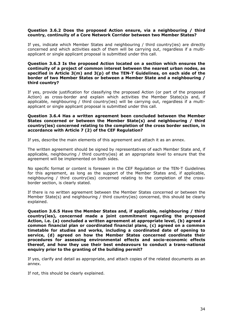#### **Question 3.6.2 Does the proposed Action ensure, via a neighbouring / third country, continuity of a Core Network Corridor between two Member States?**

If yes, indicate which Member States and neighbouring / third country(ies) are directly concerned and which activities each of them will be carrying out, regardless if a multiapplicant or single applicant proposal is submitted under this call.

#### **Question 3.6.3 Is the proposed Action located on a section which ensures the continuity of a project of common interest between the nearest urban nodes, as specified in Article 3(m) and 3(p) of the TEN-T Guidelines, on each side of the border of two Member States or between a Member State and a neighbouring / third country?**

If yes, provide justification for classifying the proposed Action (or part of the proposed Action) as cross-border and explain which activities the Member State(s)s and, if applicable, neighbouring / third country(ies) will be carrying out, regardless if a multiapplicant or single applicant proposal is submitted under this call.

#### **Question 3.6.4 Has a written agreement been concluded between the Member States concerned or between the Member State(s) and neighbouring / third country(ies) concerned relating to the completion of the cross border section, in accordance with Article 7 (2) of the CEF Regulation?**

If yes, describe the main elements of this agreement and attach it as an annex.

The written agreement should be signed by representatives of each Member State and, if applicable, neighbouring / third country(ies) at an appropriate level to ensure that the agreement will be implemented on both sides.

No specific format or content is foreseen in the CEF Regulation or the TEN-T Guidelines for this agreement, as long as the support of the Member States and, if applicable, neighbouring / third country(ies) concerned relating to the completion of the crossborder section, is clearly stated.

If there is no written agreement between the Member States concerned or between the Member State(s) and neighbouring / third country(ies) concerned, this should be clearly explained.

**Question 3.6.5 Have the Member States and, if applicable, neighbouring / third country(ies), concerned made a joint commitment regarding the proposed Action, i.e. (a) concluded a written agreement at appropriate level, (b) agreed a common financial plan or coordinated financial plans, (c) agreed on a common timetable for studies and works, including a coordinated date of opening to service, (d) agreed on how the Member States concerned coordinate their procedures for assessing environmental effects and socio-economic effects thereof, and how they use their best endeavours to conduct a trans-national enquiry prior to the granting of the building permit?**

If yes, clarify and detail as appropriate, and attach copies of the related documents as an annex.

If not, this should be clearly explained.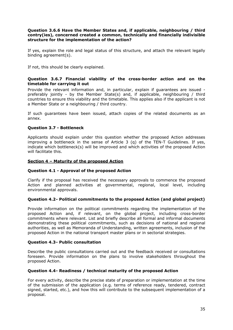#### **Question 3.6.6 Have the Member States and, if applicable, neighbouring / third contry(ies), concerned created a common, technically and financially indivisible structure for the implementation of the action?**

If yes, explain the role and legal status of this structure, and attach the relevant legally binding agreement(s).

If not, this should be clearly explained.

#### **Question 3.6.7 Financial viability of the cross-border action and on the timetable for carrying it out**

Provide the relevant information and, in particular, explain if guarantees are issued preferably jointly - by the Member State(s) and, if applicable, neighbouring / third countries to ensure this viability and the timetable. This applies also if the applicant is not a Member State or a neighbouring / third country.

If such guarantees have been issued, attach copies of the related documents as an annex.

#### **Question 3.7 - Bottleneck**

Applicants should explain under this question whether the proposed Action addresses improving a bottleneck in the sense of Article 3 (q) of the TEN-T Guidelines. If yes, indicate which bottleneck(s) will be improved and which activities of the proposed Action will facilitate this.

#### **Section 4 – Maturity of the proposed Action**

#### **Question 4.1 - Approval of the proposed Action**

Clarify if the proposal has received the necessary approvals to commence the proposed Action and planned activities at governmental, regional, local level, including environmental approvals.

#### **Question 4.2- Political commitments to the proposed Action (and global project)**

Provide information on the political commitments regarding the implementation of the proposed Action and, if relevant, on the global project, including cross-border commitments where relevant. List and briefly describe all formal and informal documents demonstrating these political commitments, such as decisions of national and regional authorities, as well as Memoranda of Understanding, written agreements, inclusion of the proposed Action in the national transport master plans or in sectorial strategies.

#### **Question 4.3- Public consultation**

Describe the public consultations carried out and the feedback received or consultations foreseen. Provide information on the plans to involve stakeholders throughout the proposed Action.

#### **Question 4.4- Readiness / technical maturity of the proposed Action**

For every activity, describe the precise state of preparation or implementation at the time of the submission of the application (e.g. terms of reference ready, tendered, contract signed, started, etc.), and how this will contribute to the subsequent implementation of a proposal.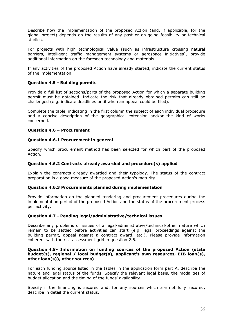Describe how the implementation of the proposed Action (and, if applicable, for the global project) depends on the results of any past or on-going feasibility or technical studies.

For projects with high technological value (such as infrastructure crossing natural barriers, intelligent traffic management systems or aerospace initiatives), provide additional information on the foreseen technology and materials.

If any activities of the proposed Action have already started, indicate the current status of the implementation.

#### **Question 4.5 - Building permits**

Provide a full list of sections/parts of the proposed Action for which a separate building permit must be obtained. Indicate the risk that already obtained permits can still be challenged (e.g. indicate deadlines until when an appeal could be filed).

Complete the table, indicating in the first column the subject of each individual procedure and a concise description of the geographical extension and/or the kind of works concerned.

#### **Question 4.6 – Procurement**

#### **Question 4.6.1 Procurement in general**

Specify which procurement method has been selected for which part of the proposed Action.

#### **Question 4.6.2 Contracts already awarded and procedure(s) applied**

Explain the contracts already awarded and their typology. The status of the contract preparation is a good measure of the proposed Action's maturity.

#### **Question 4.6.3 Procurements planned during implementation**

Provide information on the planned tendering and procurement procedures during the implementation period of the proposed Action and the status of the procurement process per activity.

#### **Question 4.7 - Pending legal/administrative/technical issues**

Describe any problems or issues of a legal/administrative/technical/other nature which remain to be settled before activities can start (e.g. legal proceedings against the building permit, appeal against a contract award, etc.). Please provide information coherent with the risk assessment grid in question 2.6.

#### **Question 4.8- Information on funding sources of the proposed Action (state budget(s), regional / local budget(s), applicant's own resources, EIB loan(s), other loan(s)), other sources)**

For each funding source listed in the tables in the application form part A, describe the nature and legal status of the funds. Specify the relevant legal basis, the modalities of budget allocation and the timing of the funds' availability.

Specify if the financing is secured and, for any sources which are not fully secured, describe in detail the current status.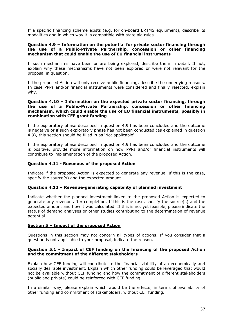If a specific financing scheme exists (e.g. for on-board ERTMS equipment), describe its modalities and in which way it is compatible with state aid rules.

#### **Question 4.9 – Information on the potential for private sector financing through the use of a Public-Private Partnership, concession or other financing mechanism that could enable the use of EU financial instruments**

If such mechanisms have been or are being explored, describe them in detail. If not, explain why these mechanisms have not been explored or were not relevant for the proposal in question.

If the proposed Action will only receive public financing, describe the underlying reasons. In case PPPs and/or financial instruments were considered and finally rejected, explain why.

#### **Question 4.10 – Information on the expected private sector financing, through the use of a Public-Private Partnership, concession or other financing mechanism, which could enable the use of EU financial instruments, possibly in combination with CEF grant funding**

If the exploratory phase described in question 4.9 has been concluded and the outcome is negative or if such exploratory phase has not been conducted (as explained in question 4.9), this section should be filled in as 'Not applicable'.

If the exploratory phase described in question 4.9 has been concluded and the outcome is positive, provide more information on how PPPs and/or financial instruments will contribute to implementation of the proposed Action.

#### **Question 4.11 - Revenues of the proposed Action**

Indicate if the proposed Action is expected to generate any revenue. If this is the case, specify the source(s) and the expected amount.

#### **Question 4.12 – Revenue-generating capability of planned investment**

Indicate whether the planned investment linked to the proposed Action is expected to generate any revenue after completion. If this is the case, specify the source(s) and the expected amount and how it was calculated. If this is not yet feasible, please indicate the status of demand analyses or other studies contributing to the determination of revenue potential.

#### **Section 5 – Impact of the proposed Action**

Questions in this section may not concern all types of actions. If you consider that a question is not applicable to your proposal, indicate the reason.

#### **Question 5.1 - Impact of CEF funding on the financing of the proposed Action and the commitment of the different stakeholders**

Explain how CEF funding will contribute to the financial viability of an economically and socially desirable investment. Explain which other funding could be leveraged that would not be available without CEF funding and how the commitment of different stakeholders (public and private) could be reinforced with CEF funding.

In a similar way, please explain which would be the effects, in terms of availability of other funding and commitment of stakeholders, without CEF funding.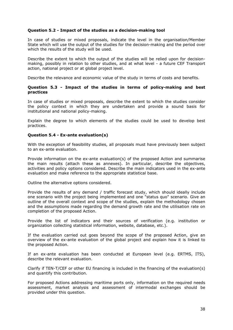#### **Question 5.2 - Impact of the studies as a decision-making tool**

In case of studies or mixed proposals, indicate the level in the organisation/Member State which will use the output of the studies for the decision-making and the period over which the results of the study will be used.

Describe the extent to which the output of the studies will be relied upon for decisionmaking, possibly in relation to other studies, and at what level - a future CEF Transport action, national project or at global project level.

Describe the relevance and economic value of the study in terms of costs and benefits.

#### **Question 5.3 - Impact of the studies in terms of policy-making and best practices**

In case of studies or mixed proposals, describe the extent to which the studies consider the policy context in which they are undertaken and provide a sound basis for institutional and national policy-making.

Explain the degree to which elements of the studies could be used to develop best practices.

#### **Question 5.4 - Ex-ante evaluation(s)**

With the exception of feasibility studies, all proposals must have previously been subject to an ex-ante evaluation.

Provide information on the ex-ante evaluation(s) of the proposed Action and summarise the main results (attach these as annexes). In particular, describe the objectives, activities and policy options considered. Describe the main indicators used in the ex-ante evaluation and make reference to the appropriate statistical base.

Outline the alternative options considered.

Provide the results of any demand / traffic forecast study, which should ideally include one scenario with the project being implemented and one "status quo" scenario. Give an outline of the overall context and scope of the studies, explain the methodology chosen and the assumptions made regarding the demand growth rate and the utilisation rate on completion of the proposed Action.

Provide the list of indicators and their sources of verification (e.g. institution or organization collecting statistical information, website, database, etc.).

If the evaluation carried out goes beyond the scope of the proposed Action, give an overview of the ex-ante evaluation of the global project and explain how it is linked to the proposed Action.

If an ex-ante evaluation has been conducted at European level (e.g. ERTMS, ITS), describe the relevant evaluation.

Clarify if TEN-T/CEF or other EU financing is included in the financing of the evaluation(s) and quantify this contribution.

For proposed Actions addressing maritime ports only, information on the required needs assessment, market analysis and assessment of intermodal exchanges should be provided under this question.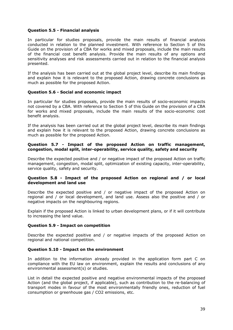#### **Question 5.5 - Financial analysis**

In particular for studies proposals, provide the main results of financial analysis conducted in relation to the planned investment. With reference to Section 5 of this Guide on the provision of a CBA for works and mixed proposals, include the main results of the financial cost benefit analysis. Provide the main results of any options and sensitivity analyses and risk assessments carried out in relation to the financial analysis presented.

If the analysis has been carried out at the global project level, describe its main findings and explain how it is relevant to the proposed Action, drawing concrete conclusions as much as possible for the proposed Action.

#### **Question 5.6 - Social and economic impact**

In particular for studies proposals, provide the main results of socio-economic impacts not covered by a CBA. With reference to Section 5 of this Guide on the provision of a CBA for works and mixed proposals, include the main results of the socio-economic cost benefit analysis.

If the analysis has been carried out at the global project level, describe its main findings and explain how it is relevant to the proposed Action, drawing concrete conclusions as much as possible for the proposed Action.

#### **Question 5.7 - Impact of the proposed Action on traffic management, congestion, modal split, inter-operability, service quality, safety and security**

Describe the expected positive and / or negative impact of the proposed Action on traffic management, congestion, modal split, optimization of existing capacity, inter-operability, service quality, safety and security.

#### **Question 5.8 - Impact of the proposed Action on regional and / or local development and land use**

Describe the expected positive and / or negative impact of the proposed Action on regional and / or local development, and land use. Assess also the positive and / or negative impacts on the neighbouring regions.

Explain if the proposed Action is linked to urban development plans, or if it will contribute to increasing the land value.

#### **Question 5.9 - Impact on competition**

Describe the expected positive and / or negative impacts of the proposed Action on regional and national competition.

#### **Question 5.10 - Impact on the environment**

In addition to the information already provided in the application form part C on compliance with the EU law on environment, explain the results and conclusions of any environmental assessment(s) or studies.

List in detail the expected positive and negative environmental impacts of the proposed Action (and the global project, if applicable), such as contribution to the re-balancing of transport modes in favour of the most environmentally friendly ones, reduction of fuel consumption or greenhouse gas / CO2 emissions, etc.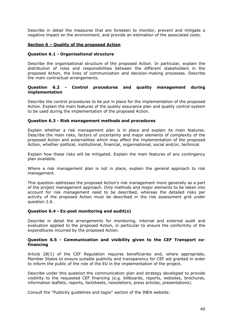Describe in detail the measures that are foreseen to monitor, prevent and mitigate a negative impact on the environment, and provide an estimation of the associated costs.

#### **Section 6 – Quality of the proposed Action**

#### **Question 6.1 - Organisational structure**

Describe the organisational structure of the proposed Action. In particular, explain the distribution of roles and responsibilities between the different stakeholders in the proposed Action, the lines of communication and decision-making processes. Describe the main contractual arrangements.

#### **Question 6.2 - Control procedures and quality management during implementation**

Describe the control procedures to be put in place for the implementation of the proposed Action. Explain the main features of the quality assurance plan and quality control system to be used during the implementation of the proposed Action.

#### **Question 6.3 - Risk management methods and procedures**

Explain whether a risk management plan is in place and explain its main features. Describe the main risks, factors of uncertainty and major elements of complexity of the proposed Action and externalities which may affect the implementation of the proposed Action, whether political, institutional, financial, organisational, social and/or, technical.

Explain how these risks will be mitigated. Explain the main features of any contingency plan available.

Where a risk management plan is not in place, explain the general approach to risk management.

This question addresses the proposed Action's risk management more generally as a part of the project management approach. Only methods and major elements to be taken into account for risk management need to be described, whereas the detailed risks per activity of the proposed Action must be described in the risk assessment grid under question 2.6.

#### **Question 6.4 - Ex-post monitoring and audit(s)**

Describe in detail the arrangements for monitoring, internal and external audit and evaluation applied to the proposed Action, in particular to ensure the conformity of the expenditures incurred by the proposed Action.

#### **Question 6.5 - Communication and visibility given to the CEF Transport cofinancing**

Article 28(1) of the CEF Regulation requires beneficiaries and, where appropriate, Member States to ensure suitable publicity and transparency for CEF aid granted in order to inform the public of the role of the EU in the implementation of the project.

Describe under this question the communication plan and strategy developed to provide visibility to the requested CEF financing (e.g. billboards, reports, websites, brochures, information leaflets, reports, factsheets, newsletters, press articles, presentations).

Consult the "Publicity guidelines and logos" section of the INEA website: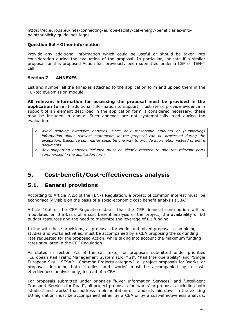https://ec.europa.eu/inea/connecting-europe-facility/cef-energy/beneficiaries-infopoint/publicity-guidelines-logos.

#### **Question 6.6 - Other information**

Provide any additional information which could be useful or should be taken into consideration during the evaluation of the proposal. In particular, indicate if a similar proposal for this proposed Action has previously been submitted under a CEF or TEN-T call.

#### **Section 7 - ANNEXES**

List and number all the annexes attached to the application form and upload them in the TENtec eSubmission module.

**All relevant information for assessing the proposal must be provided in the application form**. If additional information to support, illustrate or provide evidence in support of an element described in the application form is considered necessary, these may be included in annex. Such annexes are not systematically read during the evaluation.

- *Avoid sending extensive annexes, since only reasonable amounts of (supporting) information about relevant statements in the proposal can be processed during the evaluation. Executive summaries could be one way to provide information instead of entire documents.*
- *Any supporting annexes included must be clearly referred to and the relevant parts summarised in the application form.*

# <span id="page-40-0"></span>**5. Cost-benefit/Cost-effectiveness analysis**

# <span id="page-40-1"></span>**5.1. General provisions**

According to Article 7.2.c of the TEN-T Regulation, a project of common interest must "be economically viable on the basis of a socio-economic cost-benefit analysis (CBA)".

Article 10.6 of the CEF Regulation states that the CEF financial contribution will be modulated on the basis of a cost benefit analysis of the project, the availability of EU budget resources and the need to maximize the leverage of EU funding.

In line with these provisions, all proposals for works and mixed proposals, combining studies and works activities, must be accompanied by a CBA proposing the co-funding rate requested for the proposed Action, while taking into account the maximum funding rates stipulated in the CEF Regulation.

As stated in section 7.2 of the call texts, for proposals submitted under priorities "European Rail Traffic Management System (ERTMS)", "Rail Interoperability" and "Single European Sky – SESAR - Common Projects category", all project proposals for 'works' or proposals including both 'studies' and 'works' must be accompanied by a costeffectiveness analysis only, instead of a CBA.

For proposals submitted under priorities "River Information Services" and "Intelligent Transport Services for Road", all project proposals for 'works' or proposals including both 'studies' and 'works' that address implementation of standards laid down in the existing EU legislation must be accompanied either by a CBA or by a cost-effectiveness analysis.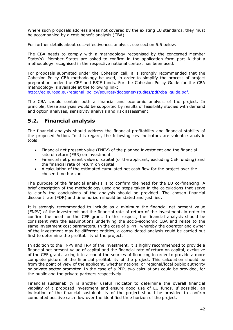Where such proposals address areas not covered by the existing EU standards, they must be accompanied by a cost-benefit analysis (CBA).

For further details about cost-effectiveness analysis, see section 5.5 below.

The CBA needs to comply with a methodology recognised by the concerned Member State(s). Member States are asked to confirm in the application form part A that a methodology recognised in the respective national context has been used.

For proposals submitted under the Cohesion call, it is strongly recommended that the Cohesion Policy CBA methodology be used, in order to simplify the process of project preparation under the CEF and ESIF funds. For the Cohesion Policy Guide for the CBA methodology is available at the following link:

[http://ec.europa.eu/regional\\_policy/sources/docgener/studies/pdf/cba\\_guide.pdf.](http://ec.europa.eu/regional_policy/sources/docgener/studies/pdf/cba_guide.pdf)

The CBA should contain both a financial and economic analysis of the project. In principle, these analyses would be supported by results of feasibility studies with demand and option analyses, sensitivity analysis and risk assessment.

# <span id="page-41-0"></span>**5.2. Financial analysis**

The financial analysis should address the financial profitability and financial stability of the proposed Action. In this regard, the following key indicators are valuable analytic tools:

- Financial net present value (FNPV) of the planned investment and the financial rate of return (FRR) on investment
- Financial net present value of capital (of the applicant, excluding CEF funding) and the financial rate of return on capital
- A calculation of the estimated cumulated net cash flow for the project over the chosen time horizon.

The purpose of the financial analysis is to confirm the need for the EU co-financing. A brief description of the methodology used and steps taken in the calculations that serve to clarify the conclusions of the analysis should be provided. The chosen financial discount rate (FDR) and time horizon should be stated and justified.

It is strongly recommended to include as a minimum the financial net present value (FNPV) of the investment and the financial rate of return of the investment, in order to confirm the need for the CEF grant. In this respect, the financial analysis should be consistent with the assumptions underlying the socio-economic CBA and relate to the same investment cost parameters. In the case of a PPP, whereby the operator and owner of the investment may be different entities, a consolidated analysis could be carried out first to determine the profitability of the project.

In addition to the FNPV and FRR of the investment, it is highly recommended to provide a financial net present value of capital and the financial rate of return on capital, exclusive of the CEF grant, taking into account the sources of financing in order to provide a more complete picture of the financial profitability of the project. This calculation should be from the point of view of the applicant, whether national or regional/local public authority or private sector promoter. In the case of a PPP, two calculations could be provided, for the public and the private partners respectively.

Financial sustainability is another useful indicator to determine the overall financial viability of a proposed investment and ensure good use of EU funds. If possible, an indication of the financial sustainability of the project should be provided to confirm cumulated positive cash flow over the identified time horizon of the project.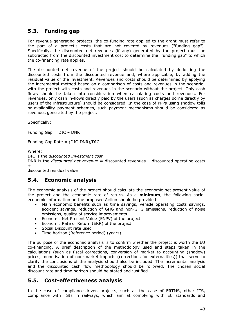# <span id="page-42-0"></span>**5.3. Funding gap**

For revenue-generating projects, the co-funding rate applied to the grant must refer to the part of a project's costs that are not covered by revenues ("funding gap"). Specifically, the discounted net revenues (if any) generated by the project must be subtracted from the discounted investment cost to determine the "funding gap" to which the co-financing rate applies.

The discounted net revenue of the project should be calculated by deducting the discounted costs from the discounted revenue and, where applicable, by adding the residual value of the investment. Revenues and costs should be determined by applying the incremental method based on a comparison of costs and revenues in the scenariowith-the-project with costs and revenues in the scenario-without-the-project. Only cash flows should be taken into consideration when calculating costs and revenues. For revenues, only cash in-flows directly paid by the users (such as charges borne directly by users of the infrastructure) should be considered. In the case of PPPs using shadow tolls or availability payment schemes, such payment mechanisms should be considered as revenues generated by the project.

Specifically:

Funding Gap = DIC – DNR

Funding Gap Rate = (DIC-DNR)/DIC

Where:

DIC is the *discounted investment cost*

DNR is the *discounted net revenue* = discounted revenues – discounted operating costs +

<span id="page-42-1"></span>discounted residual value

# **5.4. Economic analysis**

The economic analysis of the project should calculate the economic net present value of the project and the economic rate of return. As a **minimum**, the following socioeconomic information on the proposed Action should be provided:

- Main economic benefits such as time savings, vehicle operating costs savings, accident savings, reduction of GHG and non-GHG emissions, reduction of noise emissions, quality of service improvements
- Economic Net Present Value (ENPV) of the project
- Economic Rate of Return (ERR) of the project
- Social Discount rate used
- Time horizon (Reference period) (years)

The purpose of the economic analysis is to confirm whether the project is worth the EU co-financing. A brief description of the methodology used and steps taken in the calculations (such as fiscal corrections, conversion of market to accounting (shadow) prices, monetisation of non-market impacts (corrections for externalities)) that serve to clarify the conclusions of the analysis should also be included. The incremental analysis and the discounted cash flow methodology should be followed. The chosen social discount rate and time horizon should be stated and justified.

# <span id="page-42-2"></span>**5.5. Cost-effectiveness analysis**

In the case of compliance-driven projects, such as the case of ERTMS, other ITS, compliance with TSIs in railways, which aim at complying with EU standards and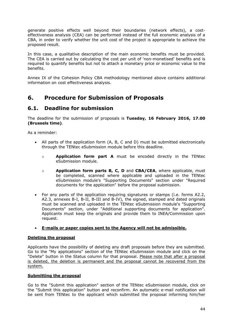generate positive effects well beyond their boundaries (network effects), a costeffectiveness analysis (CEA) can be performed instead of the full economic analysis of a CBA, in order to verify whether the unit cost of the project is appropriate to achieve the proposed result.

In this case, a qualitative description of the main economic benefits must be provided. The CEA is carried out by calculating the cost per unit of 'non-monetised' benefits and is required to quantify benefits but not to attach a monetary price or economic value to the benefits.

<span id="page-43-0"></span>Annex IX of the Cohesion Policy CBA methodology mentioned above contains additional information on cost effectiveness analysis.

# **6. Procedure for Submission of Proposals**

# <span id="page-43-1"></span>**6.1. Deadline for submission**

The deadline for the submission of proposals is **Tuesday, 16 February 2016, 17.00 (Brussels time)**.

As a reminder:

- All parts of the application form (A, B, C and D) must be submitted electronically through the TENtec eSubmission module before this deadline.
	- o **Application form part A** must be encoded directly in the TENtec eSubmission module.
	- o **Application form parts B, C, D** and **CBA/CEA**, where applicable, must be completed, scanned where applicable and uploaded in the TENtec eSubmission module's "Supporting Documents" section under "Required documents for the application" before the proposal submission.
- For any parts of the application requiring signatures or stamps (i.e. forms A2.2, A2.3, annexes B-I, B-II, B-III and B-IV), the signed, stamped and dated originals must be scanned and uploaded in the TENtec eSubmission module's "Supporting Documents" section, under "Additional supporting documents for application". Applicants must keep the originals and provide them to INEA/Commission upon request.

## **E-mails or paper copies sent to the Agency will not be admissible.**

#### **Deleting the proposal**

Applicants have the possibility of deleting any draft proposals before they are submitted. Go to the "My applications" section of the TENtec eSubmission module and click on the "Delete" button in the Status column for that proposal. Please note that after a proposal is deleted, the deletion is permanent and the proposal cannot be recovered from the system.

#### **Submitting the proposal**

Go to the "Submit this application" section of the TENtec eSubmission module, click on the "Submit this application" button and reconfirm. An automatic e-mail notification will be sent from TENtec to the applicant which submitted the proposal informing him/her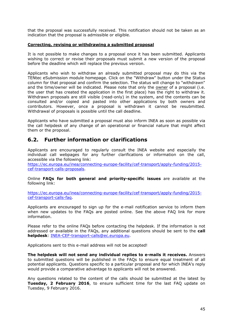that the proposal was successfully received. This notification should not be taken as an indication that the proposal is admissible or eligible.

#### **Correcting, revising or withdrawing a submitted proposal**

It is not possible to make changes to a proposal once it has been submitted. Applicants wishing to correct or revise their proposals must submit a new version of the proposal before the deadline which will replace the previous version.

Applicants who wish to withdraw an already submitted proposal may do this via the TENtec eSubmission module homepage. Click on the "Withdraw" button under the Status column for that proposal and confirm the selection. The status will change to "withdrawn" and the time/owner will be indicated. Please note that only the owner of a proposal (i.e. the user that has created the application in the first place) has the right to withdraw it. Withdrawn proposals are still visible (read-only) in the system, and the contents can be consulted and/or copied and pasted into other applications by both owners and contributors. However, once a proposal is withdrawn it cannot be resubmitted. Withdrawal of proposals is possible until the call deadline.

Applicants who have submitted a proposal must also inform INEA as soon as possible via the call helpdesk of any change of an operational or financial nature that might affect them or the proposal.

# <span id="page-44-0"></span>**6.2. Further information or clarifications**

Applicants are encouraged to regularly consult the INEA website and especially the individual call webpages for any further clarifications or information on the call, accessible via the following link:

[https://ec.europa.eu/inea/connecting-europe-facility/cef-transport/apply-funding/2015](https://ec.europa.eu/inea/connecting-europe-facility/cef-transport/apply-funding/2015-cef-transport-calls-proposals) [cef-transport-calls-proposals.](https://ec.europa.eu/inea/connecting-europe-facility/cef-transport/apply-funding/2015-cef-transport-calls-proposals)

Online **FAQs for both general and priority-specific issues** are available at the following link:

[https://ec.europa.eu/inea/connecting-europe-facility/cef-transport/apply-funding/2015](https://ec.europa.eu/inea/connecting-europe-facility/cef-transport/apply-funding/2015-cef-transport-calls-faq) [cef-transport-calls-faq.](https://ec.europa.eu/inea/connecting-europe-facility/cef-transport/apply-funding/2015-cef-transport-calls-faq)

Applicants are encouraged to sign up for the e-mail notification service to inform them when new updates to the FAQs are posted online. See the above FAQ link for more information.

Please refer to the online FAQs before contacting the helpdesk. If the information is not addressed or available in the FAQs, any additional questions should be sent to the **call helpdesk**: [INEA-CEF-transport-calls@ec.europa.eu.](mailto:INEA-CEF-transport-calls@ec.europa.eu)

Applications sent to this e-mail address will not be accepted!

**The helpdesk will not send any individual replies to e-mails it receives.** Answers to submitted questions will be published in the FAQs to ensure equal treatment of all potential applicants. Questions specific to a particular proposal and for which INEA's reply would provide a comparative advantage to applicants will not be answered.

Any questions related to the content of the calls should be submitted at the latest by **Tuesday, 2 February 2016**, to ensure sufficient time for the last FAQ update on Tuesday, 9 February 2016.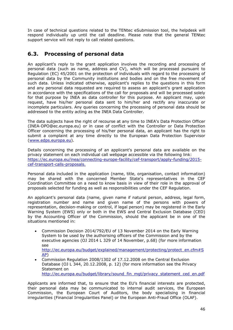In case of technical questions related to the TENtec eSubmission tool, the helpdesk will respond individually up until the call deadline. Please note that the general TENtec support service will not reply to call related questions.

# <span id="page-45-0"></span>**6.3. Processing of personal data**

An applicant's reply to the grant application involves the recording and processing of personal data (such as name, address and CV), which will be processed pursuant to Regulation (EC) 45/2001 on the protection of individuals with regard to the processing of personal data by the Community institutions and bodies and on the free movement of such data. Unless indicated otherwise, applicant's replies to the questions in this form and any personal data requested are required to assess an applicant's grant application in accordance with the specifications of the call for proposals and will be processed solely for that purpose by INEA as data controller for this purpose. An applicant may, upon request, have his/her personal data sent to him/her and rectify any inaccurate or incomplete particulars. Any queries concerning the processing of personal data should be addressed to the entity acting as the INEA Data Controller.

The data subjects have the right of recourse at any time to INEA's Data Protection Officer (INEA-DPO@ec.europa.eu) or in case of conflict with the Controller or Data Protection Officer concerning the processing of his/her personal data, an applicant has the right to submit a complaint at any time directly to the European Data Protection Supervisor [\(www.edps.europa.eu\)](http://www.edps.europa.eu/).

Details concerning the processing of an applicant's personal data are available on the privacy statement on each individual call webpage accessible via the following link: [https://ec.europa.eu/inea/connecting-europe-facility/cef-transport/apply-funding/2015](https://ec.europa.eu/inea/connecting-europe-facility/cef-transport/apply-funding/2015-cef-transport-calls-proposals) [cef-transport-calls-proposals.](https://ec.europa.eu/inea/connecting-europe-facility/cef-transport/apply-funding/2015-cef-transport-calls-proposals)

Personal data included in the application (name, title, organisation, contact information) may be shared with the concerned Member State's representatives in the CEF Coordination Committee on a need to know basis in view of their role in the approval of proposals selected for funding as well as responsibilities under the CEF Regulation.

An applicant's personal data (name, given name if natural person, address, legal form, registration number and name and given name of the persons with powers of representation, decision-making or control, if legal person) may be registered in the Early Warning System (EWS) only or both in the EWS and Central Exclusion Database (CED) by the Accounting Officer of the Commission, should the applicant be in one of the situations mentioned in:

 Commission Decision 2014/792/EU of 13 November 2014 on the Early Warning System to be used by the authorising officers of the Commission and by the executive agencies (OJ 2014 L 329 of 14 November, p.68) (for more information see

[http://ec.europa.eu/budget/explained/management/protecting/protect\\_en.cfm#S](http://ec.europa.eu/budget/explained/management/protecting/protect_en.cfm#SAP) [AP\)](http://ec.europa.eu/budget/explained/management/protecting/protect_en.cfm#SAP)

 Commission Regulation 2008/1302 of 17.12.2008 on the Central Exclusion Database (OJ L 344, 20.12.2008, p. 12) (for more information see the Privacy Statement on

[http://ec.europa.eu/budget/library/sound\\_fin\\_mgt/privacy\\_statement\\_ced\\_en.pdf](http://ec.europa.eu/budget/library/sound_fin_mgt/privacy_statement_ced_en.pdf)

Applicants are informed that, to ensure that the EU's financial interests are protected, their personal data may be communicated to internal audit services, the European Commission, the European Court of Auditors, the body specialising in financial irregularities (Financial Irregularities Panel) or the European Anti-Fraud Office (OLAF).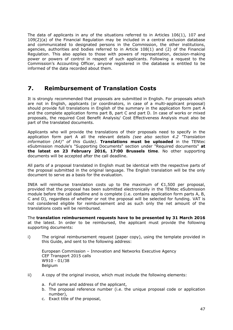The data of applicants in any of the situations referred to in Articles 106(1), 107 and 109(2)(a) of the Financial Regulation may be included in a central exclusion database and communicated to designated persons in the Commission, the other institutions, agencies, authorities and bodies referred to in Article 108(1) and (2) of the Financial Regulation. This also applies to those with powers of representation, decision-making power or powers of control in respect of such applicants. Following a request to the Commission's Accounting Officer, anyone registered in the database is entitled to be informed of the data recorded about them.

# <span id="page-46-0"></span>**7. Reimbursement of Translation Costs**

It is strongly recommended that proposals are submitted in English. For proposals which are not in English, applicants (or coordinators, in case of a multi-applicant proposal) should provide full translations in English of the summary in the application form part A and the complete application forms part B, part C and part D. In case of works or mixed proposals, the required Cost Benefit Analysis/ Cost Effectiveness Analysis must also be part of the translated documents.

Applicants who will provide the translations of their proposals need to specify in the application form part A all the relevant details *(see also section 4.2 "Translation information (A4)" of this Guide)*. **Translations must be uploaded** in the TENtec eSubmission module's "Supporting Documents" section under "Required documents" **at the latest on 23 February 2016, 17:00 Brussels time**. No other supporting documents will be accepted after the call deadline.

All parts of a proposal translated in English must be identical with the respective parts of the proposal submitted in the original language. The English translation will be the only document to serve as a basis for the evaluation.

INEA will reimburse translation costs up to the maximum of  $E1,500$  per proposal, provided that the proposal has been submitted electronically in the TENtec eSubmission module before the call deadline and is complete (i.e. contains application form parts A, B, C and D), regardless of whether or not the proposal will be selected for funding. VAT is not considered eligible for reimbursement and as such only the net amount of the translations costs will be reimbursed.

The **translation reimbursement requests have to be presented by 31 March 2016** at the latest. In order to be reimbursed, the applicant must provide the following supporting documents:

i) The original reimbursement request (paper copy), using the template provided in this Guide, and sent to the following address:

European Commission – Innovation and Networks Executive Agency CEF Transport 2015 calls W910 - 01/38 Belgium

- ii) A copy of the original invoice, which must include the following elements:
	- a. Full name and address of the applicant,
	- b. The proposal reference number (i.e. the unique proposal code or application number),
	- c. Exact title of the proposal,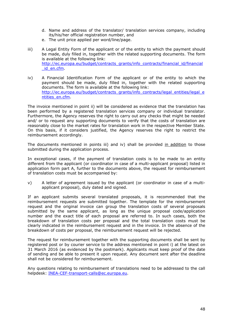- d. Name and address of the translator/ translation services company, including its/his/her official registration number, and
- e. The unit price applied per word/line/page.
- iii) A Legal Entity Form of the applicant or of the entity to which the payment should be made, duly filled in, together with the related supporting documents. The form is available at the following link: [http://ec.europa.eu/budget/contracts\\_grants/info\\_contracts/financial\\_id/financial](http://ec.europa.eu/budget/contracts_grants/info_contracts/financial_id/financial_id_en.cfm) [\\_id\\_en.cfm.](http://ec.europa.eu/budget/contracts_grants/info_contracts/financial_id/financial_id_en.cfm)
- iv) A Financial Identification Form of the applicant or of the entity to which the payment should be made, duly filled in, together with the related supporting documents. The form is available at the following link: [http://ec.europa.eu/budget/contracts\\_grants/info\\_contracts/legal\\_entities/legal\\_e](http://ec.europa.eu/budget/contracts_grants/info_contracts/legal_entities/legal_entities_en.cfm) [ntities\\_en.cfm.](http://ec.europa.eu/budget/contracts_grants/info_contracts/legal_entities/legal_entities_en.cfm)

The invoice mentioned in point ii) will be considered as evidence that the translation has been performed by a registered translation services company or individual translator. Furthermore, the Agency reserves the right to carry out any checks that might be needed and/ or to request any supporting documents to verify that the costs of translation are reasonably close to the market rates for translation work in the respective Member State. On this basis, if it considers justified, the Agency reserves the right to restrict the reimbursement accordingly.

The documents mentioned in points iii) and iv) shall be provided in addition to those submitted during the application process.

In exceptional cases, if the payment of translation costs is to be made to an entity different from the applicant (or coordinator in case of a multi-applicant proposal) listed in application form part A, further to the documents above, the request for reimbursement of translation costs must be accompanied by:

v) A letter of agreement issued by the applicant (or coordinator in case of a multiapplicant proposal), duly dated and signed.

If an applicant submits several translated proposals, it is recommended that the reimbursement requests are submitted together. The template for the reimbursement request and the original invoice can group the translation costs of several proposals submitted by the same applicant, as long as the unique proposal code/application number and the exact title of each proposal are referred to. In such cases, both the breakdown of translation costs per proposal and the total translation costs must be clearly indicated in the reimbursement request and in the invoice. In the absence of the breakdown of costs per proposal, the reimbursement request will be rejected.

The request for reimbursement together with the supporting documents shall be sent by registered post or by courier service to the address mentioned in point i) at the latest on 31 March 2016 (as evidenced by the postmark). Applicants must keep proof of the date of sending and be able to present it upon request. Any document sent after the deadline shall not be considered for reimbursement.

Any questions relating to reimbursement of translations need to be addressed to the call helpdesk: [INEA-CEF-transport-calls@ec.europa.eu.](mailto:INEA-CEF-transport-calls@ec.europa.eu)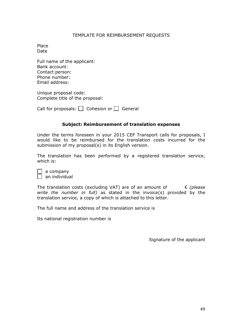#### TEMPLATE FOR REIMBURSEMENT REQUESTS

Place Date

Full name of the applicant: Bank account: Contact person: Phone number: Email address:

Unique proposal code: Complete title of the proposal:

Call for proposals:  $\Box$  Cohesion or  $\Box$  General

#### **Subject: Reimbursement of translation expenses**

Under the terms foreseen in your 2015 CEF Transport calls for proposals, I would like to be reimbursed for the translation costs incurred for the submission of my proposal(s) in its English version.

The translation has been performed by a registered translation service, which is:

| a company     |
|---------------|
| an individual |

The translation costs (excluding VAT) are of an amount of € *(please write the number in full)* as stated in the invoice(s) provided by the translation service, a copy of which is attached to this letter.

The full name and address of the translation service is

Its national registration number is

Signature of the applicant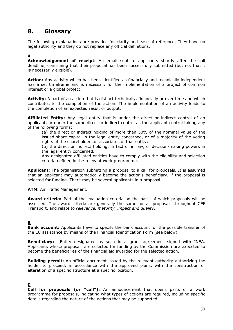# <span id="page-49-0"></span>**8. Glossary**

The following explanations are provided for clarity and ease of reference. They have no legal authority and they do not replace any official definitions.

## **A**

**Acknowledgement of receipt:** An email sent to applicants shortly after the call deadline, confirming that their proposal has been successfully submitted (but not that it is necessarily eligible).

**Action:** Any activity which has been identified as financially and technically independent has a set timeframe and is necessary for the implementation of a project of common interest or a global project.

**Activity:** A part of an action that is distinct technically, financially or over time and which contributes to the completion of the action. The implementation of an activity leads to the completion of an expected result or output.

**Affiliated Entity:** Any legal entity that is under the direct or indirect control of an applicant, or under the same direct or indirect control as the applicant control taking any of the following forms:

(a) the direct or indirect holding of more than 50% of the nominal value of the issued share capital in the legal entity concerned, or of a majority of the voting rights of the shareholders or associates of that entity;

(b) the direct or indirect holding, in fact or in law, of decision-making powers in the legal entity concerned.

Any designated affiliated entities have to comply with the eligibility and selection criteria defined in the relevant work programme.

**Applicant:** The organisation submitting a proposal to a call for proposals. It is assumed that an applicant may automatically become the action's beneficiary, if the proposal is selected for funding. There may be several applicants in a proposal.

**ATM:** Air Traffic Management.

**Award criteria:** Part of the evaluation criteria on the basis of which proposals will be assessed. The award criteria are generally the same for all proposals throughout CEF Transport, and relate to *relevance, maturity, impact and quality*.

## **B**

**Bank account:** Applicants have to specify the bank account for the possible transfer of the EU assistance by means of the Financial Identification Form (see below).

**Beneficiary:** Entity designated as such in a grant agreement signed with INEA. Applicants whose proposals are selected for funding by the Commission are expected to become the beneficiaries of the financial aid awarded for the selected action.

**Building permit:** An official document issued by the relevant authority authorizing the holder to proceed, in accordance with the approved plans, with the construction or alteration of a specific structure at a specific location.

## **C**

**Call for proposals (or "call"):** An announcement that opens parts of a work programme for proposals, indicating what types of actions are required, including specific details regarding the nature of the actions that may be supported.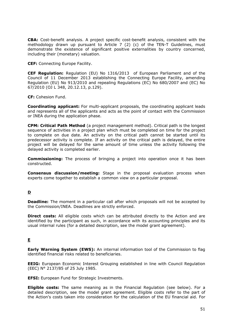**CBA:** Cost-benefit analysis. A project specific cost-benefit analysis, consistent with the methodology drawn up pursuant to Article 7 (2) (c) of the TEN-T Guidelines, must demonstrate the existence of significant positive externalities by country concerned, including their (monetary) valuation.

**CEF:** Connecting Europe Facility.

**CEF Regulation:** Regulation (EU) No 1316/2013 of European Parliament and of the Council of 11 December 2013 establishing the Connecting Europe Facility, amending Regulation (EU) No 913/2010 and repealing Regulations (EC) No 680/2007 and (EC) No 67/2010 (OJ L 348, 20.12.13, p.129).

**CF:** Cohesion Fund.

**Coordinating applicant:** For multi-applicant proposals, the coordinating applicant leads and represents all of the applicants and acts as the point of contact with the Commission or INEA during the application phase.

**CPM: Critical Path Method** (a project management method). Critical path is the longest sequence of activities in a project plan which must be completed on time for the project to complete on due date. An activity on the critical path cannot be started until its predecessor activity is complete. If an activity on the critical path is delayed, the entire project will be delayed for the same amount of time unless the activity following the delayed activity is completed earlier.

**Commissioning:** The process of bringing a project into operation once it has been constructed.

**Consensus discussion/meeting:** Stage in the proposal evaluation process when experts come together to establish a common view on a particular proposal.

## **D**

**Deadline:** The moment in a particular call after which proposals will not be accepted by the Commission/INEA. Deadlines are strictly enforced.

**Direct costs:** All eligible costs which can be attributed directly to the Action and are identified by the participant as such, in accordance with its accounting principles and its usual internal rules (for a detailed description, see the model grant agreement).

## **E**

**Early Warning System (EWS):** An internal information tool of the Commission to flag identified financial risks related to beneficiaries.

**EEIG:** European Economic Interest Grouping established in line with Council Regulation (EEC) N° 2137/85 of 25 July 1985.

**EFSI:** European Fund for Strategic Investments.

**Eligible costs:** The same meaning as in the Financial Regulation (see below). For a detailed description, see the model grant agreement. Eligible costs refer to the part of the Action's costs taken into consideration for the calculation of the EU financial aid. For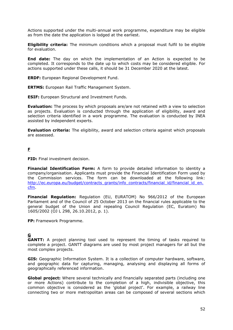Actions supported under the multi-annual work programme, expenditure may be eligible as from the date the application is lodged at the earliest.

**Eligibility criteria:** The minimum conditions which a proposal must fulfil to be eligible for evaluation.

**End date:** The day on which the implementation of an Action is expected to be completed. It corresponds to the date up to which costs may be considered eligible. For actions supported under these calls, it should be 31 December 2020 at the latest.

**ERDF:** European Regional Development Fund.

**ERTMS:** European Rail Traffic Management System.

**ESIF:** European Structural and Investment Funds.

**Evaluation:** The process by which proposals are/are not retained with a view to selection as projects. Evaluation is conducted through the application of eligibility, award and selection criteria identified in a work programme. The evaluation is conducted by INEA assisted by independent experts.

**Evaluation criteria:** The eligibility, award and selection criteria against which proposals are assessed.

## **F**

**FID:** Final investment decision.

**Financial Identification Form:** A form to provide detailed information to identity a company/organisation. Applicants must provide the Financial Identification Form used by the Commission services. The form can be downloaded at the following link: [http://ec.europa.eu/budget/contracts\\_grants/info\\_contracts/financial\\_id/financial\\_id\\_en.](http://ec.europa.eu/budget/contracts_grants/info_contracts/financial_id/financial_id_en.cfm) [cfm.](http://ec.europa.eu/budget/contracts_grants/info_contracts/financial_id/financial_id_en.cfm)

**Financial Regulation:** Regulation (EU, EURATOM) No 966/2012 of the European Parliament and of the Council of 25 October 2013 on the financial rules applicable to the general budget of the Union and repealing Council Regulation (EC, Euratom) No 1605/2002 (OJ L 298, 26.10.2012, p. 1).

**FP:** Framework Programme.

# **G**

**GANTT:** A project planning tool used to represent the timing of tasks required to complete a project. GANTT diagrams are used by most project managers for all but the most complex projects.

**GIS:** Geographic Information System. It is a collection of computer hardware, software, and geographic data for capturing, managing, analysing and displaying all forms of geographically referenced information.

**Global project:** Where several technically and financially separated parts (including one or more Actions) contribute to the completion of a high, indivisible objective, this common objective is considered as the 'global project'. For example, a railway line connecting two or more metropolitan areas can be composed of several sections which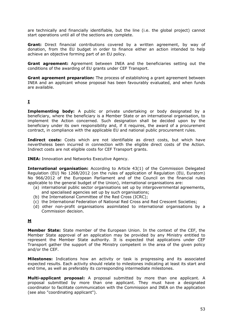are technically and financially identifiable, but the line (i.e. the global project) cannot start operations until all of the sections are complete.

**Grant:** Direct financial contributions covered by a written agreement, by way of donation, from the EU budget in order to finance either an action intended to help achieve an objective forming part of an EU policy.

**Grant agreement:** Agreement between INEA and the beneficiaries setting out the conditions of the awarding of EU grants under CEF Transport.

**Grant agreement preparation:** The process of establishing a grant agreement between INEA and an applicant whose proposal has been favourably evaluated, and when funds are available.

## **I**

**Implementing body:** A public or private undertaking or body designated by a beneficiary, where the beneficiary is a Member State or an international organisation, to implement the Action concerned. Such designation shall be decided upon by the beneficiary under its own responsibility and, if it requires, the award of a procurement contract, in compliance with the applicable EU and national public procurement rules.

**Indirect costs:** Costs which are not identifiable as direct costs, but which have nevertheless been incurred in connection with the eligible direct costs of the Action. Indirect costs are not eligible costs for CEF Transport grants.

**INEA:** Innovation and Networks Executive Agency.

**International organisation:** According to Article 43(1) of the Commission Delegated Regulation (EU) No 1268/2012 (on the rules of application of Regulation (EU, Euratom) No 966/2012 of the European Parliament and of the Council on the financial rules applicable to the general budget of the Union), international organisations are:

- (a) international public sector organisations set up by intergovernmental agreements, and specialised agencies set up by such organisations;
- (b) the International Committee of the Red Cross (ICRC);
- (c) the International Federation of National Red Cross and Red Crescent Societies;
- (d) other non-profit organisations assimilated to international organisations by a Commission decision.

## **M**

**Member State:** State member of the European Union. In the context of the CEF, the Member State approval of an application may be provided by any Ministry entitled to represent the Member State authority. It is expected that applications under CEF Transport gather the support of the Ministry competent in the area of the given policy and/or the CEF.

**Milestones:** Indications how an activity or task is progressing and its associated expected results. Each activity should relate to milestones indicating at least its start and end time, as well as preferably its corresponding intermediate milestones.

**Multi-applicant proposal:** A proposal submitted by more than one applicant. A proposal submitted by more than one applicant. They must have a designated coordinator to facilitate communication with the Commission and INEA on the application (see also "coordinating applicant").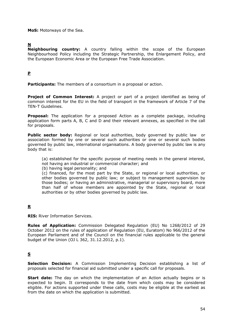**MoS:** Motorways of the Sea.

## **N**

**Neighbouring country:** A country falling within the scope of the European Neighbourhood Policy including the Strategic Partnership, the Enlargement Policy, and the European Economic Area or the European Free Trade Association.

### **P**

**Participants:** The members of a consortium in a proposal or action.

**Project of Common Interest:** A project or part of a project identified as being of common interest for the EU in the field of transport in the framework of Article 7 of the TEN-T Guidelines.

**Proposal:** The application for a proposed Action as a complete package, including application form parts A, B, C and D and their relevant annexes, as specified in the call for proposals.

**Public sector body:** Regional or local authorities, body governed by public law or association formed by one or several such authorities or one or several such bodies governed by public law, international organisations. A body governed by public law is any body that is:

(a) established for the specific purpose of meeting needs in the general interest, not having an industrial or commercial character; and

(b) having legal personality; and

(c) financed, for the most part by the State, or regional or local authorities, or other bodies governed by public law; or subject to management supervision by those bodies; or having an administrative, managerial or supervisory board, more than half of whose members are appointed by the State, regional or local authorities or by other bodies governed by public law.

## **R**

**RIS:** River Information Services.

**Rules of Application:** Commission Delegated Regulation (EU) No 1268/2012 of 29 October 2012 on the rules of application of Regulation (EU, Euratom) No 966/2012 of the European Parliament and of the Council on the financial rules applicable to the general budget of the Union (OJ L 362, 31.12.2012, p.1).

## **S**

**Selection Decision:** A Commission Implementing Decision establishing a list of proposals selected for financial aid submitted under a specific call for proposals.

**Start date:** The day on which the implementation of an Action actually begins or is expected to begin. It corresponds to the date from which costs may be considered eligible. For actions supported under these calls, costs may be eligible at the earliest as from the date on which the application is submitted.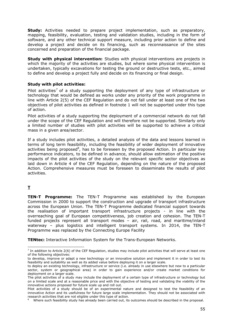**Study:** Activities needed to prepare project implementation, such as preparatory, mapping, feasibility, evaluation, testing and validation studies, including in the form of software, and any other technical support measure, including prior action to define and develop a project and decide on its financing, such as reconnaissance of the sites concerned and preparation of the financial package.

**Study with physical intervention:** Studies with physical interventions are projects in which the majority of the activities are studies, but where some physical intervention is undertaken, typically excavations for testing the ground or destructive tests, etc., aimed to define and develop a project fully and decide on its financing or final design.

#### **Study with pilot activities:**

Pilot activities<sup>7</sup> of a study supporting the deployment of any type of infrastructure or technology that would be defined as works under any priority of the work programme in line with Article 2(5) of the CEF Regulation and do not fall under at least one of the two objectives of pilot activities as defined in footnote 1 will not be supported under this type of action.

Pilot activities of a study supporting the deployment of a commercial network do not fall under the scope of the CEF Regulation and will therefore not be supported. Similarly only a limited number of studies with pilot activities will be supported to achieve a critical mass in a given area/sector.

If a study includes pilot activities, a detailed analysis of the data and lessons learned in terms of long term feasibility, including the feasibility of wider deployment of innovative activities being proposed<sup>8</sup>, has to be foreseen by the proposed Action. In particular key performance indicators, to be defined in advance, should allow estimation of the positive impacts of the pilot activities of the study on the relevant specific sector objectives as laid down in Article 4 of the CEF Regulation, depending on the nature of the proposed Action. Comprehensive measures must be foreseen to disseminate the results of pilot activities.

## **T**

-

**TEN-T Programme:** The TEN-T Programme was established by the European Commission in 2000 to support the construction and upgrade of transport infrastructure across the European Union. The TEN-T Programme dedicated financial support towards the realisation of important transport infrastructure projects - in line with the overreaching goal of European competitiveness, job creation and cohesion. The TEN-T funded projects represent all transport modes – air, rail, road, and maritime/inland waterway – plus logistics and intelligent transport systems. In 2014, the TEN-T Programme was replaced by the Connecting Europe Facility

**TENtec:** Interactive Information System for the Trans-European Networks.

 $^7$  In addition to Article 2(6) of the CEF Regulation, studies may include pilot activities that will serve at least one of the following objectives:

to develop, improve or adapt a new technology or an innovative solution and implement it in order to test its feasibility and suitability as well as its added value before deploying it on a larger scale.

to deploy an existing technology, infrastructure or service (i.e. already in use elsewhere but new to a particular sector, system or geographical area) in order to gain experience and/or create market conditions for deployment on a larger scale.

The pilot activities of a study may include the deployment of a certain type of infrastructure or technology but on a limited scale and at a reasonable price and with the objective of testing and validating the viability of the innovative actions proposed for future scale up and roll out.

Pilot activities of a study should be of an experimental nature and designed to test the feasibility of an innovative Action and its usefulness for future large scale implementation. They should not be associated with research activities that are not eligible under this type of action.

Where such feasibility study has already been carried out, its outcomes should be described in the proposal.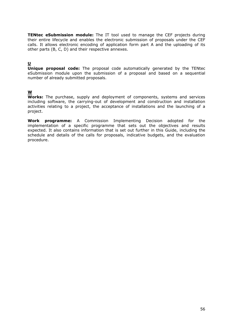**TENtec eSubmission module:** The IT tool used to manage the CEF projects during their entire lifecycle and enables the electronic submission of proposals under the CEF calls. It allows electronic encoding of application form part A and the uploading of its other parts (B, C, D) and their respective annexes.

## **U**

**Unique proposal code:** The proposal code automatically generated by the TENtec eSubmission module upon the submission of a proposal and based on a sequential number of already submitted proposals.

## **W**

**Works:** The purchase, supply and deployment of components, systems and services including software, the carrying-out of development and construction and installation activities relating to a project, the acceptance of installations and the launching of a project.

**Work programme:** A Commission Implementing Decision adopted for the implementation of a specific programme that sets out the objectives and results expected. It also contains information that is set out further in this Guide, including the schedule and details of the calls for proposals, indicative budgets, and the evaluation procedure.